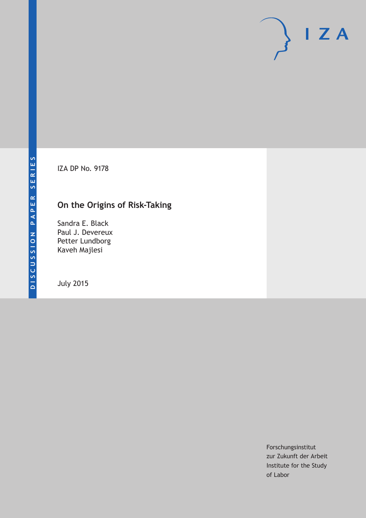# $I Z A$

IZA DP No. 9178

## **On the Origins of Risk-Taking**

Sandra E. Black Paul J. Devereux Petter Lundborg Kaveh Majlesi

July 2015

Forschungsinstitut zur Zukunft der Arbeit Institute for the Study of Labor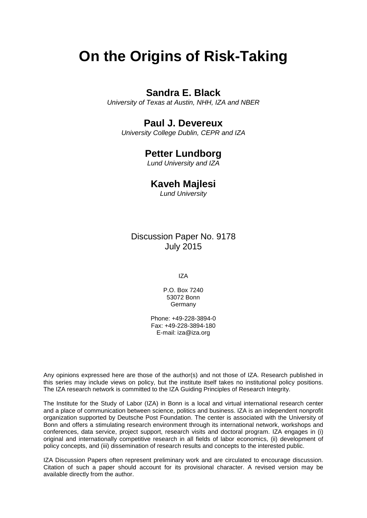## **On the Origins of Risk-Taking**

## **Sandra E. Black**

*University of Texas at Austin, NHH, IZA and NBER*

### **Paul J. Devereux**

*University College Dublin, CEPR and IZA*

## **Petter Lundborg**

*Lund University and IZA*

#### **Kaveh Majlesi**

*Lund University*

Discussion Paper No. 9178 July 2015

IZA

P.O. Box 7240 53072 Bonn Germany

Phone: +49-228-3894-0 Fax: +49-228-3894-180 E-mail: iza@iza.org

Any opinions expressed here are those of the author(s) and not those of IZA. Research published in this series may include views on policy, but the institute itself takes no institutional policy positions. The IZA research network is committed to the IZA Guiding Principles of Research Integrity.

The Institute for the Study of Labor (IZA) in Bonn is a local and virtual international research center and a place of communication between science, politics and business. IZA is an independent nonprofit organization supported by Deutsche Post Foundation. The center is associated with the University of Bonn and offers a stimulating research environment through its international network, workshops and conferences, data service, project support, research visits and doctoral program. IZA engages in (i) original and internationally competitive research in all fields of labor economics, (ii) development of policy concepts, and (iii) dissemination of research results and concepts to the interested public.

<span id="page-1-0"></span>IZA Discussion Papers often represent preliminary work and are circulated to encourage discussion. Citation of such a paper should account for its provisional character. A revised version may be available directly from the author.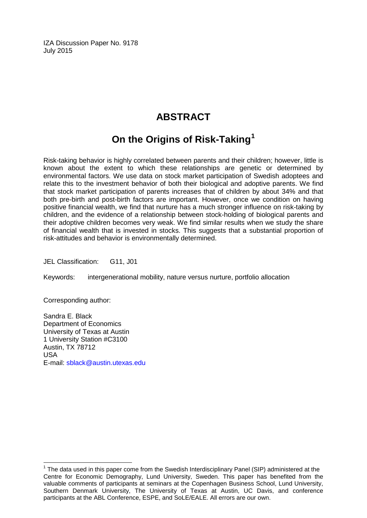IZA Discussion Paper No. 9178 July 2015

## **ABSTRACT**

## **On the Origins of Risk-Taking[1](#page-1-0)**

Risk-taking behavior is highly correlated between parents and their children; however, little is known about the extent to which these relationships are genetic or determined by environmental factors. We use data on stock market participation of Swedish adoptees and relate this to the investment behavior of both their biological and adoptive parents. We find that stock market participation of parents increases that of children by about 34% and that both pre-birth and post-birth factors are important. However, once we condition on having positive financial wealth, we find that nurture has a much stronger influence on risk-taking by children, and the evidence of a relationship between stock-holding of biological parents and their adoptive children becomes very weak. We find similar results when we study the share of financial wealth that is invested in stocks. This suggests that a substantial proportion of risk-attitudes and behavior is environmentally determined.

JEL Classification: G11, J01

Keywords: intergenerational mobility, nature versus nurture, portfolio allocation

Corresponding author:

Sandra E. Black Department of Economics University of Texas at Austin 1 University Station #C3100 Austin, TX 78712 USA E-mail: [sblack@austin.utexas.edu](mailto:sblack@austin.utexas.edu)

 $1$  The data used in this paper come from the Swedish Interdisciplinary Panel (SIP) administered at the Centre for Economic Demography, Lund University, Sweden. This paper has benefited from the valuable comments of participants at seminars at the Copenhagen Business School, Lund University, Southern Denmark University, The University of Texas at Austin, UC Davis, and conference participants at the ABL Conference, ESPE, and SoLE/EALE. All errors are our own.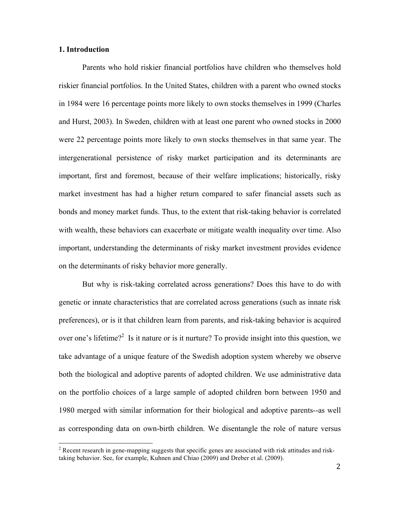#### **1. Introduction**

Parents who hold riskier financial portfolios have children who themselves hold riskier financial portfolios. In the United States, children with a parent who owned stocks in 1984 were 16 percentage points more likely to own stocks themselves in 1999 (Charles and Hurst, 2003). In Sweden, children with at least one parent who owned stocks in 2000 were 22 percentage points more likely to own stocks themselves in that same year. The intergenerational persistence of risky market participation and its determinants are important, first and foremost, because of their welfare implications; historically, risky market investment has had a higher return compared to safer financial assets such as bonds and money market funds. Thus, to the extent that risk-taking behavior is correlated with wealth, these behaviors can exacerbate or mitigate wealth inequality over time. Also important, understanding the determinants of risky market investment provides evidence on the determinants of risky behavior more generally.

But why is risk-taking correlated across generations? Does this have to do with genetic or innate characteristics that are correlated across generations (such as innate risk preferences), or is it that children learn from parents, and risk-taking behavior is acquired over one's lifetime?<sup>2</sup> Is it nature or is it nurture? To provide insight into this question, we take advantage of a unique feature of the Swedish adoption system whereby we observe both the biological and adoptive parents of adopted children. We use administrative data on the portfolio choices of a large sample of adopted children born between 1950 and 1980 merged with similar information for their biological and adoptive parents--as well as corresponding data on own-birth children. We disentangle the role of nature versus

<sup>&</sup>lt;sup>2</sup> Recent research in gene-mapping suggests that specific genes are associated with risk attitudes and risktaking behavior. See, for example, Kuhnen and Chiao (2009) and Dreber et al. (2009).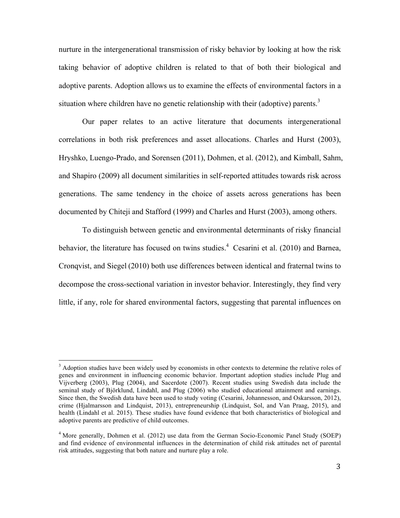nurture in the intergenerational transmission of risky behavior by looking at how the risk taking behavior of adoptive children is related to that of both their biological and adoptive parents. Adoption allows us to examine the effects of environmental factors in a situation where children have no genetic relationship with their (adoptive) parents.<sup>3</sup>

Our paper relates to an active literature that documents intergenerational correlations in both risk preferences and asset allocations. Charles and Hurst (2003), Hryshko, Luengo-Prado, and Sorensen (2011), Dohmen, et al. (2012), and Kimball, Sahm, and Shapiro (2009) all document similarities in self-reported attitudes towards risk across generations. The same tendency in the choice of assets across generations has been documented by Chiteji and Stafford (1999) and Charles and Hurst (2003), among others.

To distinguish between genetic and environmental determinants of risky financial behavior, the literature has focused on twins studies.<sup>4</sup> Cesarini et al. (2010) and Barnea, Cronqvist, and Siegel (2010) both use differences between identical and fraternal twins to decompose the cross-sectional variation in investor behavior. Interestingly, they find very little, if any, role for shared environmental factors, suggesting that parental influences on

<sup>&</sup>lt;sup>3</sup> Adoption studies have been widely used by economists in other contexts to determine the relative roles of genes and environment in influencing economic behavior. Important adoption studies include Plug and Vijverberg (2003), Plug (2004), and Sacerdote (2007). Recent studies using Swedish data include the seminal study of Björklund, Lindahl, and Plug (2006) who studied educational attainment and earnings. Since then, the Swedish data have been used to study voting (Cesarini, Johannesson, and Oskarsson, 2012), crime (Hjalmarsson and Lindquist, 2013), entrepreneurship (Lindquist, Sol, and Van Praag, 2015), and health (Lindahl et al. 2015). These studies have found evidence that both characteristics of biological and adoptive parents are predictive of child outcomes.

<sup>&</sup>lt;sup>4</sup> More generally, Dohmen et al. (2012) use data from the German Socio-Economic Panel Study (SOEP) and find evidence of environmental influences in the determination of child risk attitudes net of parental risk attitudes, suggesting that both nature and nurture play a role.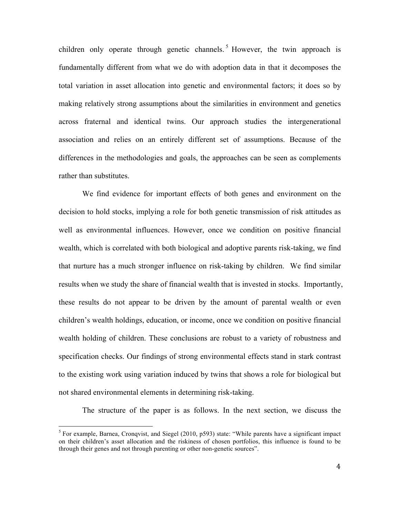children only operate through genetic channels. <sup>5</sup> However, the twin approach is fundamentally different from what we do with adoption data in that it decomposes the total variation in asset allocation into genetic and environmental factors; it does so by making relatively strong assumptions about the similarities in environment and genetics across fraternal and identical twins. Our approach studies the intergenerational association and relies on an entirely different set of assumptions. Because of the differences in the methodologies and goals, the approaches can be seen as complements rather than substitutes.

We find evidence for important effects of both genes and environment on the decision to hold stocks, implying a role for both genetic transmission of risk attitudes as well as environmental influences. However, once we condition on positive financial wealth, which is correlated with both biological and adoptive parents risk-taking, we find that nurture has a much stronger influence on risk-taking by children. We find similar results when we study the share of financial wealth that is invested in stocks. Importantly, these results do not appear to be driven by the amount of parental wealth or even children's wealth holdings, education, or income, once we condition on positive financial wealth holding of children. These conclusions are robust to a variety of robustness and specification checks. Our findings of strong environmental effects stand in stark contrast to the existing work using variation induced by twins that shows a role for biological but not shared environmental elements in determining risk-taking.

The structure of the paper is as follows. In the next section, we discuss the

 $<sup>5</sup>$  For example, Barnea, Cronqvist, and Siegel (2010, p593) state: "While parents have a significant impact</sup> on their children's asset allocation and the riskiness of chosen portfolios, this influence is found to be through their genes and not through parenting or other non-genetic sources".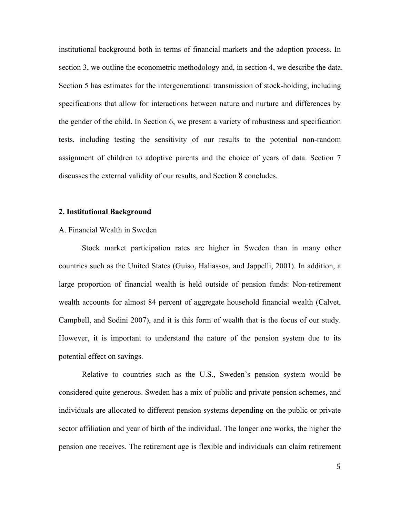institutional background both in terms of financial markets and the adoption process. In section 3, we outline the econometric methodology and, in section 4, we describe the data. Section 5 has estimates for the intergenerational transmission of stock-holding, including specifications that allow for interactions between nature and nurture and differences by the gender of the child. In Section 6, we present a variety of robustness and specification tests, including testing the sensitivity of our results to the potential non-random assignment of children to adoptive parents and the choice of years of data. Section 7 discusses the external validity of our results, and Section 8 concludes.

#### **2. Institutional Background**

#### A. Financial Wealth in Sweden

Stock market participation rates are higher in Sweden than in many other countries such as the United States (Guiso, Haliassos, and Jappelli, 2001). In addition, a large proportion of financial wealth is held outside of pension funds: Non-retirement wealth accounts for almost 84 percent of aggregate household financial wealth (Calvet, Campbell, and Sodini 2007), and it is this form of wealth that is the focus of our study. However, it is important to understand the nature of the pension system due to its potential effect on savings.

Relative to countries such as the U.S., Sweden's pension system would be considered quite generous. Sweden has a mix of public and private pension schemes, and individuals are allocated to different pension systems depending on the public or private sector affiliation and year of birth of the individual. The longer one works, the higher the pension one receives. The retirement age is flexible and individuals can claim retirement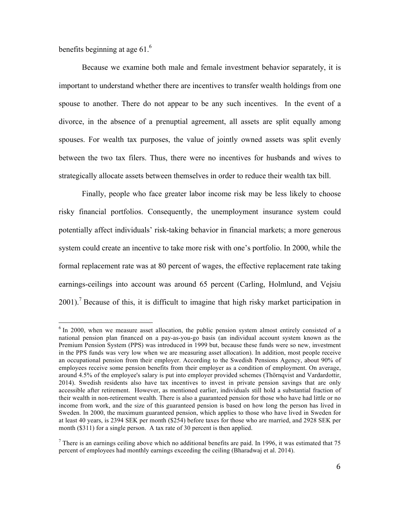benefits beginning at age  $61<sup>6</sup>$ 

Because we examine both male and female investment behavior separately, it is important to understand whether there are incentives to transfer wealth holdings from one spouse to another. There do not appear to be any such incentives. In the event of a divorce, in the absence of a prenuptial agreement, all assets are split equally among spouses. For wealth tax purposes, the value of jointly owned assets was split evenly between the two tax filers. Thus, there were no incentives for husbands and wives to strategically allocate assets between themselves in order to reduce their wealth tax bill.

Finally, people who face greater labor income risk may be less likely to choose risky financial portfolios. Consequently, the unemployment insurance system could potentially affect individuals' risk-taking behavior in financial markets; a more generous system could create an incentive to take more risk with one's portfolio. In 2000, while the formal replacement rate was at 80 percent of wages, the effective replacement rate taking earnings-ceilings into account was around 65 percent (Carling, Holmlund, and Vejsiu  $2001$ .<sup>7</sup> Because of this, it is difficult to imagine that high risky market participation in

 $6$  In 2000, when we measure asset allocation, the public pension system almost entirely consisted of a national pension plan financed on a pay-as-you-go basis (an individual account system known as the Premium Pension System (PPS) was introduced in 1999 but, because these funds were so new, investment in the PPS funds was very low when we are measuring asset allocation). In addition, most people receive an occupational pension from their employer. According to the Swedish Pensions Agency, about 90% of employees receive some pension benefits from their employer as a condition of employment. On average, around 4.5% of the employee's salary is put into employer provided schemes (Thörnqvist and Vardardottir, 2014). Swedish residents also have tax incentives to invest in private pension savings that are only accessible after retirement. However, as mentioned earlier, individuals still hold a substantial fraction of their wealth in non-retirement wealth. There is also a guaranteed pension for those who have had little or no income from work, and the size of this guaranteed pension is based on how long the person has lived in Sweden. In 2000, the maximum guaranteed pension, which applies to those who have lived in Sweden for at least 40 years, is 2394 SEK per month (\$254) before taxes for those who are married, and 2928 SEK per month (\$311) for a single person. A tax rate of 30 percent is then applied.

There is an earnings ceiling above which no additional benefits are paid. In 1996, it was estimated that 75 percent of employees had monthly earnings exceeding the ceiling (Bharadwaj et al. 2014).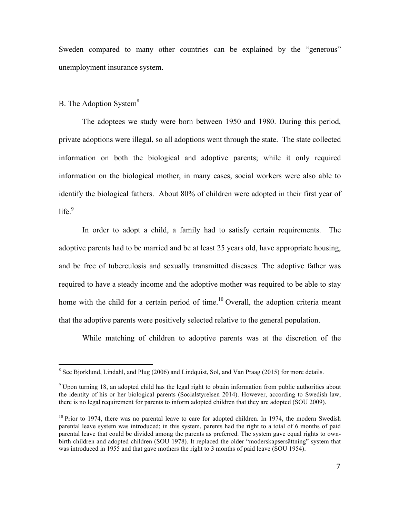Sweden compared to many other countries can be explained by the "generous" unemployment insurance system.

#### B. The Adoption System<sup>8</sup>

The adoptees we study were born between 1950 and 1980. During this period, private adoptions were illegal, so all adoptions went through the state. The state collected information on both the biological and adoptive parents; while it only required information on the biological mother, in many cases, social workers were also able to identify the biological fathers. About 80% of children were adopted in their first year of  $life.<sup>9</sup>$ 

In order to adopt a child, a family had to satisfy certain requirements. The adoptive parents had to be married and be at least 25 years old, have appropriate housing, and be free of tuberculosis and sexually transmitted diseases. The adoptive father was required to have a steady income and the adoptive mother was required to be able to stay home with the child for a certain period of time.<sup>10</sup> Overall, the adoption criteria meant that the adoptive parents were positively selected relative to the general population.

While matching of children to adoptive parents was at the discretion of the

<sup>&</sup>lt;sup>8</sup> See Bjorklund, Lindahl, and Plug (2006) and Lindquist, Sol, and Van Praag (2015) for more details.

<sup>&</sup>lt;sup>9</sup> Upon turning 18, an adopted child has the legal right to obtain information from public authorities about the identity of his or her biological parents (Socialstyrelsen 2014). However, according to Swedish law, there is no legal requirement for parents to inform adopted children that they are adopted (SOU 2009).

 $10$  Prior to 1974, there was no parental leave to care for adopted children. In 1974, the modern Swedish parental leave system was introduced; in this system, parents had the right to a total of 6 months of paid parental leave that could be divided among the parents as preferred. The system gave equal rights to ownbirth children and adopted children (SOU 1978). It replaced the older "moderskapsersättning" system that was introduced in 1955 and that gave mothers the right to 3 months of paid leave (SOU 1954).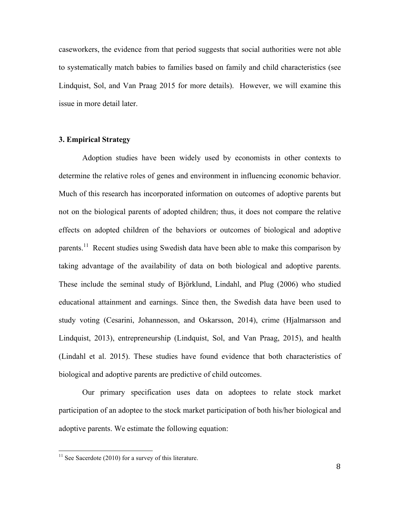caseworkers, the evidence from that period suggests that social authorities were not able to systematically match babies to families based on family and child characteristics (see Lindquist, Sol, and Van Praag 2015 for more details). However, we will examine this issue in more detail later.

#### **3. Empirical Strategy**

Adoption studies have been widely used by economists in other contexts to determine the relative roles of genes and environment in influencing economic behavior. Much of this research has incorporated information on outcomes of adoptive parents but not on the biological parents of adopted children; thus, it does not compare the relative effects on adopted children of the behaviors or outcomes of biological and adoptive parents.<sup>11</sup> Recent studies using Swedish data have been able to make this comparison by taking advantage of the availability of data on both biological and adoptive parents. These include the seminal study of Björklund, Lindahl, and Plug (2006) who studied educational attainment and earnings. Since then, the Swedish data have been used to study voting (Cesarini, Johannesson, and Oskarsson, 2014), crime (Hjalmarsson and Lindquist, 2013), entrepreneurship (Lindquist, Sol, and Van Praag, 2015), and health (Lindahl et al. 2015). These studies have found evidence that both characteristics of biological and adoptive parents are predictive of child outcomes.

Our primary specification uses data on adoptees to relate stock market participation of an adoptee to the stock market participation of both his/her biological and adoptive parents. We estimate the following equation:

 $11$  See Sacerdote (2010) for a survey of this literature.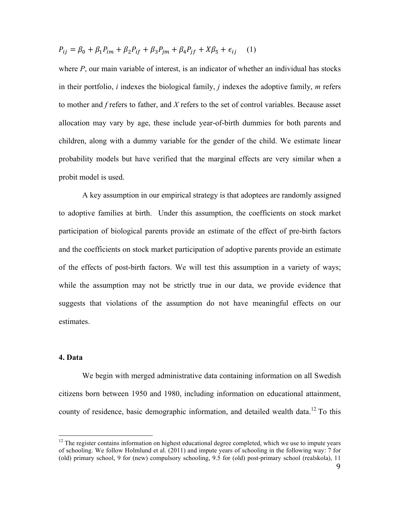$$
P_{ij} = \beta_0 + \beta_1 P_{im} + \beta_2 P_{if} + \beta_3 P_{jm} + \beta_4 P_{jf} + X\beta_5 + \epsilon_{ij} \tag{1}
$$

where  $P$ , our main variable of interest, is an indicator of whether an individual has stocks in their portfolio, *i* indexes the biological family, *j* indexes the adoptive family, *m* refers to mother and *f* refers to father, and *X* refers to the set of control variables. Because asset allocation may vary by age, these include year-of-birth dummies for both parents and children, along with a dummy variable for the gender of the child. We estimate linear probability models but have verified that the marginal effects are very similar when a probit model is used.

A key assumption in our empirical strategy is that adoptees are randomly assigned to adoptive families at birth. Under this assumption, the coefficients on stock market participation of biological parents provide an estimate of the effect of pre-birth factors and the coefficients on stock market participation of adoptive parents provide an estimate of the effects of post-birth factors. We will test this assumption in a variety of ways; while the assumption may not be strictly true in our data, we provide evidence that suggests that violations of the assumption do not have meaningful effects on our estimates.

#### **4. Data**

We begin with merged administrative data containing information on all Swedish citizens born between 1950 and 1980, including information on educational attainment, county of residence, basic demographic information, and detailed wealth data.<sup>12</sup> To this

<sup>&</sup>lt;sup>12</sup> The register contains information on highest educational degree completed, which we use to impute years of schooling. We follow Holmlund et al. (2011) and impute years of schooling in the following way: 7 for (old) primary school, 9 for (new) compulsory schooling, 9.5 for (old) post-primary school (realskola), 11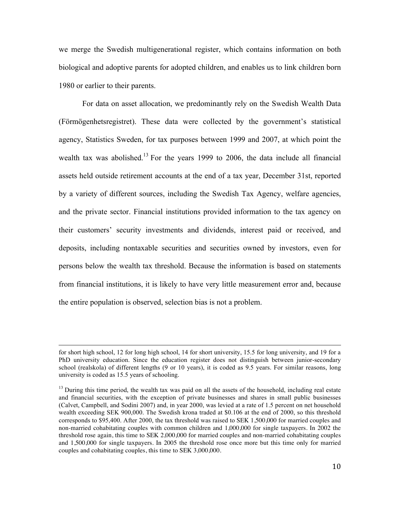we merge the Swedish multigenerational register, which contains information on both biological and adoptive parents for adopted children, and enables us to link children born 1980 or earlier to their parents.

For data on asset allocation, we predominantly rely on the Swedish Wealth Data (Förmögenhetsregistret). These data were collected by the government's statistical agency, Statistics Sweden, for tax purposes between 1999 and 2007, at which point the wealth tax was abolished.<sup>13</sup> For the years 1999 to 2006, the data include all financial assets held outside retirement accounts at the end of a tax year, December 31st, reported by a variety of different sources, including the Swedish Tax Agency, welfare agencies, and the private sector. Financial institutions provided information to the tax agency on their customers' security investments and dividends, interest paid or received, and deposits, including nontaxable securities and securities owned by investors, even for persons below the wealth tax threshold. Because the information is based on statements from financial institutions, it is likely to have very little measurement error and, because the entire population is observed, selection bias is not a problem.

<u> 1989 - Andrea Santa Andrea Andrea Andrea Andrea Andrea Andrea Andrea Andrea Andrea Andrea Andrea Andrea Andr</u>

for short high school, 12 for long high school, 14 for short university, 15.5 for long university, and 19 for a PhD university education. Since the education register does not distinguish between junior-secondary school (realskola) of different lengths (9 or 10 years), it is coded as 9.5 years. For similar reasons, long university is coded as 15.5 years of schooling.

 $<sup>13</sup>$  During this time period, the wealth tax was paid on all the assets of the household, including real estate</sup> and financial securities, with the exception of private businesses and shares in small public businesses (Calvet, Campbell, and Sodini 2007) and, in year 2000, was levied at a rate of 1.5 percent on net household wealth exceeding SEK 900,000. The Swedish krona traded at \$0.106 at the end of 2000, so this threshold corresponds to \$95,400. After 2000, the tax threshold was raised to SEK 1,500,000 for married couples and non-married cohabitating couples with common children and 1,000,000 for single taxpayers. In 2002 the threshold rose again, this time to SEK 2,000,000 for married couples and non-married cohabitating couples and 1,500,000 for single taxpayers. In 2005 the threshold rose once more but this time only for married couples and cohabitating couples, this time to SEK 3,000,000.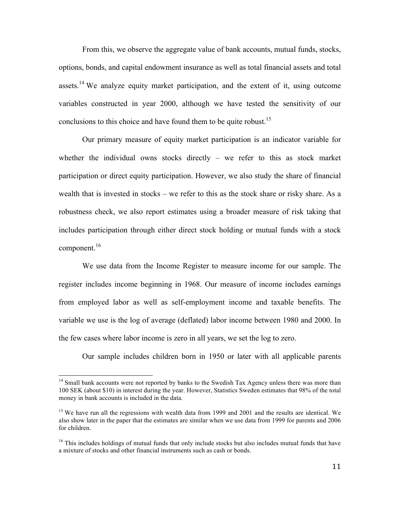From this, we observe the aggregate value of bank accounts, mutual funds, stocks, options, bonds, and capital endowment insurance as well as total financial assets and total assets.<sup>14</sup> We analyze equity market participation, and the extent of it, using outcome variables constructed in year 2000, although we have tested the sensitivity of our conclusions to this choice and have found them to be quite robust.<sup>15</sup>

Our primary measure of equity market participation is an indicator variable for whether the individual owns stocks directly  $-$  we refer to this as stock market participation or direct equity participation. However, we also study the share of financial wealth that is invested in stocks – we refer to this as the stock share or risky share. As a robustness check, we also report estimates using a broader measure of risk taking that includes participation through either direct stock holding or mutual funds with a stock component.<sup>16</sup>

We use data from the Income Register to measure income for our sample. The register includes income beginning in 1968. Our measure of income includes earnings from employed labor as well as self-employment income and taxable benefits. The variable we use is the log of average (deflated) labor income between 1980 and 2000. In the few cases where labor income is zero in all years, we set the log to zero.

Our sample includes children born in 1950 or later with all applicable parents

<sup>&</sup>lt;sup>14</sup> Small bank accounts were not reported by banks to the Swedish Tax Agency unless there was more than 100 SEK (about \$10) in interest during the year. However, Statistics Sweden estimates that 98% of the total money in bank accounts is included in the data.

<sup>&</sup>lt;sup>15</sup> We have run all the regressions with wealth data from 1999 and 2001 and the results are identical. We also show later in the paper that the estimates are similar when we use data from 1999 for parents and 2006 for children.

<sup>&</sup>lt;sup>16</sup> This includes holdings of mutual funds that only include stocks but also includes mutual funds that have a mixture of stocks and other financial instruments such as cash or bonds.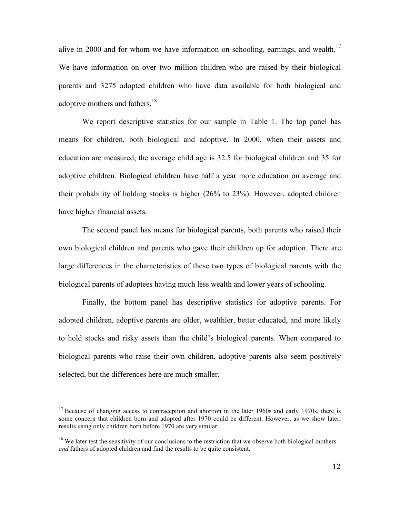alive in 2000 and for whom we have information on schooling, earnings, and wealth.<sup>17</sup> We have information on over two million children who are raised by their biological parents and 3275 adopted children who have data available for both biological and adoptive mothers and fathers.<sup>18</sup>

We report descriptive statistics for our sample in Table 1. The top panel has means for children, both biological and adoptive. In 2000, when their assets and education are measured, the average child age is 32.5 for biological children and 35 for adoptive children. Biological children have half a year more education on average and their probability of holding stocks is higher (26% to 23%). However, adopted children have higher financial assets.

The second panel has means for biological parents, both parents who raised their own biological children and parents who gave their children up for adoption. There are large differences in the characteristics of these two types of biological parents with the biological parents of adoptees having much less wealth and lower years of schooling.

Finally, the bottom panel has descriptive statistics for adoptive parents. For adopted children, adoptive parents are older, wealthier, better educated, and more likely to hold stocks and risky assets than the child's biological parents. When compared to biological parents who raise their own children, adoptive parents also seem positively selected, but the differences here are much smaller.

<sup>&</sup>lt;sup>17</sup> Because of changing access to contraception and abortion in the later 1960s and early 1970s, there is some concern that children born and adopted after 1970 could be different. However, as we show later, results using only children born before 1970 are very similar.

<sup>&</sup>lt;sup>18</sup> We later test the sensitivity of our conclusions to the restriction that we observe both biological mothers *and* fathers of adopted children and find the results to be quite consistent.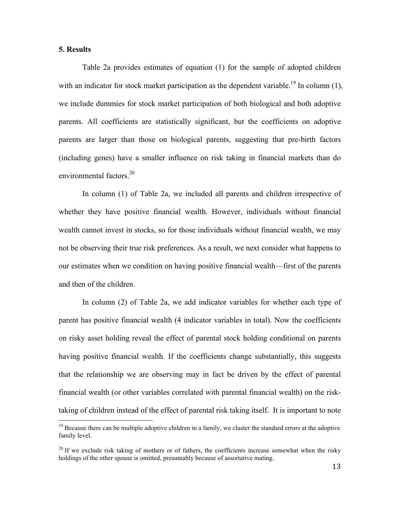#### **5. Results**

Table 2a provides estimates of equation (1) for the sample of adopted children with an indicator for stock market participation as the dependent variable.<sup>19</sup> In column  $(1)$ , we include dummies for stock market participation of both biological and both adoptive parents. All coefficients are statistically significant, but the coefficients on adoptive parents are larger than those on biological parents, suggesting that pre-birth factors (including genes) have a smaller influence on risk taking in financial markets than do environmental factors. 20

In column (1) of Table 2a, we included all parents and children irrespective of whether they have positive financial wealth. However, individuals without financial wealth cannot invest in stocks, so for those individuals without financial wealth, we may not be observing their true risk preferences. As a result, we next consider what happens to our estimates when we condition on having positive financial wealth—first of the parents and then of the children.

In column (2) of Table 2a, we add indicator variables for whether each type of parent has positive financial wealth (4 indicator variables in total). Now the coefficients on risky asset holding reveal the effect of parental stock holding conditional on parents having positive financial wealth. If the coefficients change substantially, this suggests that the relationship we are observing may in fact be driven by the effect of parental financial wealth (or other variables correlated with parental financial wealth) on the risktaking of children instead of the effect of parental risk taking itself. It is important to note

<sup>&</sup>lt;sup>19</sup> Because there can be multiple adoptive children in a family, we cluster the standard errors at the adoptive family level.

 $20$  If we exclude risk taking of mothers or of fathers, the coefficients increase somewhat when the risky holdings of the other spouse is omitted, presumably because of assortative mating.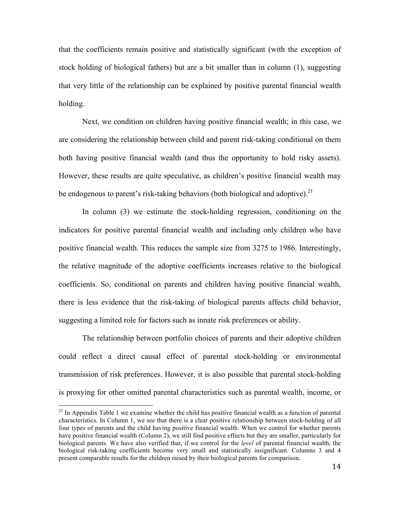that the coefficients remain positive and statistically significant (with the exception of stock holding of biological fathers) but are a bit smaller than in column (1), suggesting that very little of the relationship can be explained by positive parental financial wealth holding.

Next, we condition on children having positive financial wealth; in this case, we are considering the relationship between child and parent risk-taking conditional on them both having positive financial wealth (and thus the opportunity to hold risky assets). However, these results are quite speculative, as children's positive financial wealth may be endogenous to parent's risk-taking behaviors (both biological and adoptive).<sup>21</sup>

In column (3) we estimate the stock-holding regression, conditioning on the indicators for positive parental financial wealth and including only children who have positive financial wealth. This reduces the sample size from 3275 to 1986. Interestingly, the relative magnitude of the adoptive coefficients increases relative to the biological coefficients. So, conditional on parents and children having positive financial wealth, there is less evidence that the risk-taking of biological parents affects child behavior, suggesting a limited role for factors such as innate risk preferences or ability.

The relationship between portfolio choices of parents and their adoptive children could reflect a direct causal effect of parental stock-holding or environmental transmission of risk preferences. However, it is also possible that parental stock-holding is proxying for other omitted parental characteristics such as parental wealth, income, or

 $21$  In Appendix Table 1 we examine whether the child has positive financial wealth as a function of parental characteristics. In Column 1, we see that there is a clear positive relationship between stock-holding of all four types of parents and the child having positive financial wealth. When we control for whether parents have positive financial wealth (Column 2), we still find positive effects but they are smaller, particularly for biological parents. We have also verified that, if we control for the *level* of parental financial wealth, the biological risk-taking coefficients become very small and statistically insignificant. Columns 3 and 4 present comparable results for the children raised by their biological parents for comparison.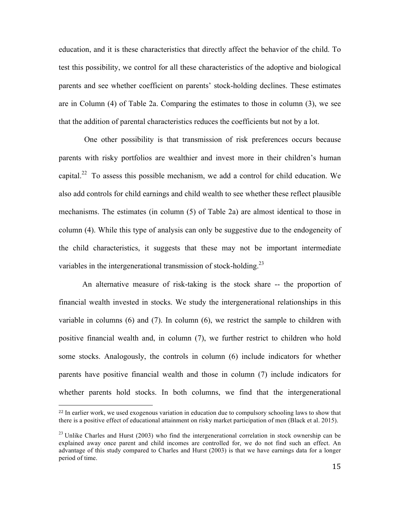education, and it is these characteristics that directly affect the behavior of the child. To test this possibility, we control for all these characteristics of the adoptive and biological parents and see whether coefficient on parents' stock-holding declines. These estimates are in Column (4) of Table 2a. Comparing the estimates to those in column (3), we see that the addition of parental characteristics reduces the coefficients but not by a lot.

One other possibility is that transmission of risk preferences occurs because parents with risky portfolios are wealthier and invest more in their children's human capital.<sup>22</sup> To assess this possible mechanism, we add a control for child education. We also add controls for child earnings and child wealth to see whether these reflect plausible mechanisms. The estimates (in column (5) of Table 2a) are almost identical to those in column (4). While this type of analysis can only be suggestive due to the endogeneity of the child characteristics, it suggests that these may not be important intermediate variables in the intergenerational transmission of stock-holding.<sup>23</sup>

An alternative measure of risk-taking is the stock share -- the proportion of financial wealth invested in stocks. We study the intergenerational relationships in this variable in columns (6) and (7). In column (6), we restrict the sample to children with positive financial wealth and, in column (7), we further restrict to children who hold some stocks. Analogously, the controls in column (6) include indicators for whether parents have positive financial wealth and those in column (7) include indicators for whether parents hold stocks. In both columns, we find that the intergenerational

 

<sup>&</sup>lt;sup>22</sup> In earlier work, we used exogenous variation in education due to compulsory schooling laws to show that there is a positive effect of educational attainment on risky market participation of men (Black et al. 2015).

 $^{23}$  Unlike Charles and Hurst (2003) who find the intergenerational correlation in stock ownership can be explained away once parent and child incomes are controlled for, we do not find such an effect. An advantage of this study compared to Charles and Hurst (2003) is that we have earnings data for a longer period of time.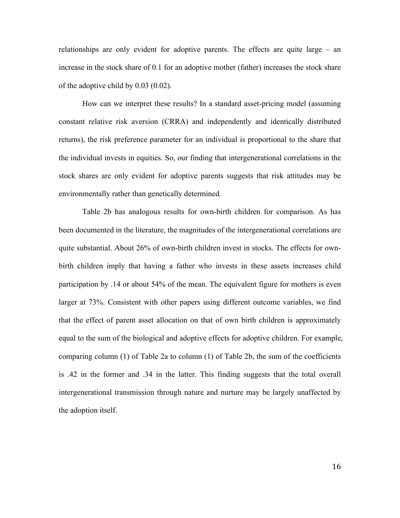relationships are only evident for adoptive parents. The effects are quite large – an increase in the stock share of 0.1 for an adoptive mother (father) increases the stock share of the adoptive child by 0.03 (0.02).

How can we interpret these results? In a standard asset-pricing model (assuming constant relative risk aversion (CRRA) and independently and identically distributed returns), the risk preference parameter for an individual is proportional to the share that the individual invests in equities. So, our finding that intergenerational correlations in the stock shares are only evident for adoptive parents suggests that risk attitudes may be environmentally rather than genetically determined.

Table 2b has analogous results for own-birth children for comparison. As has been documented in the literature, the magnitudes of the intergenerational correlations are quite substantial. About 26% of own-birth children invest in stocks. The effects for ownbirth children imply that having a father who invests in these assets increases child participation by .14 or about 54% of the mean. The equivalent figure for mothers is even larger at 73%. Consistent with other papers using different outcome variables, we find that the effect of parent asset allocation on that of own birth children is approximately equal to the sum of the biological and adoptive effects for adoptive children. For example, comparing column (1) of Table 2a to column (1) of Table 2b, the sum of the coefficients is .42 in the former and .34 in the latter. This finding suggests that the total overall intergenerational transmission through nature and nurture may be largely unaffected by the adoption itself.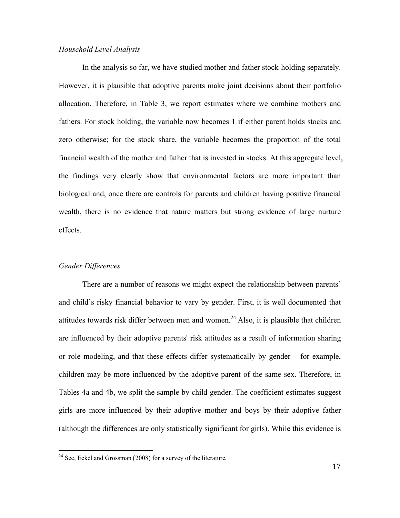#### *Household Level Analysis*

In the analysis so far, we have studied mother and father stock-holding separately. However, it is plausible that adoptive parents make joint decisions about their portfolio allocation. Therefore, in Table 3, we report estimates where we combine mothers and fathers. For stock holding, the variable now becomes 1 if either parent holds stocks and zero otherwise; for the stock share, the variable becomes the proportion of the total financial wealth of the mother and father that is invested in stocks. At this aggregate level, the findings very clearly show that environmental factors are more important than biological and, once there are controls for parents and children having positive financial wealth, there is no evidence that nature matters but strong evidence of large nurture effects.

#### *Gender Differences*

There are a number of reasons we might expect the relationship between parents' and child's risky financial behavior to vary by gender. First, it is well documented that attitudes towards risk differ between men and women.<sup>24</sup> Also, it is plausible that children are influenced by their adoptive parents' risk attitudes as a result of information sharing or role modeling, and that these effects differ systematically by gender – for example, children may be more influenced by the adoptive parent of the same sex. Therefore, in Tables 4a and 4b, we split the sample by child gender. The coefficient estimates suggest girls are more influenced by their adoptive mother and boys by their adoptive father (although the differences are only statistically significant for girls). While this evidence is

 

 $2<sup>24</sup>$  See, Eckel and Grossman (2008) for a survey of the literature.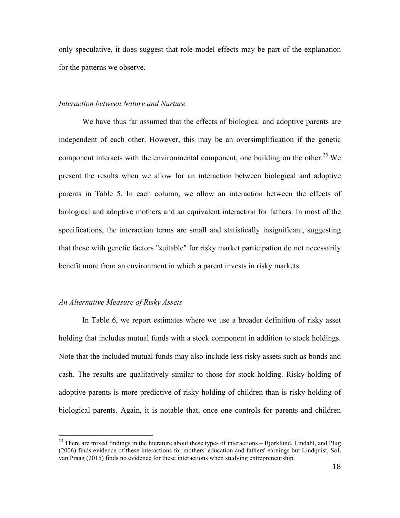only speculative, it does suggest that role-model effects may be part of the explanation for the patterns we observe.

#### *Interaction between Nature and Nurture*

We have thus far assumed that the effects of biological and adoptive parents are independent of each other. However, this may be an oversimplification if the genetic component interacts with the environmental component, one building on the other.<sup>25</sup> We present the results when we allow for an interaction between biological and adoptive parents in Table 5. In each column, we allow an interaction between the effects of biological and adoptive mothers and an equivalent interaction for fathers. In most of the specifications, the interaction terms are small and statistically insignificant, suggesting that those with genetic factors "suitable" for risky market participation do not necessarily benefit more from an environment in which a parent invests in risky markets.

#### *An Alternative Measure of Risky Assets*

In Table 6, we report estimates where we use a broader definition of risky asset holding that includes mutual funds with a stock component in addition to stock holdings. Note that the included mutual funds may also include less risky assets such as bonds and cash. The results are qualitatively similar to those for stock-holding. Risky-holding of adoptive parents is more predictive of risky-holding of children than is risky-holding of biological parents. Again, it is notable that, once one controls for parents and children

<sup>&</sup>lt;sup>25</sup> There are mixed findings in the literature about these types of interactions – Bjorklund, Lindahl, and Plug (2006) finds evidence of these interactions for mothers' education and fathers' earnings but Lindquist, Sol, van Praag (2015) finds no evidence for these interactions when studying entrepreneurship.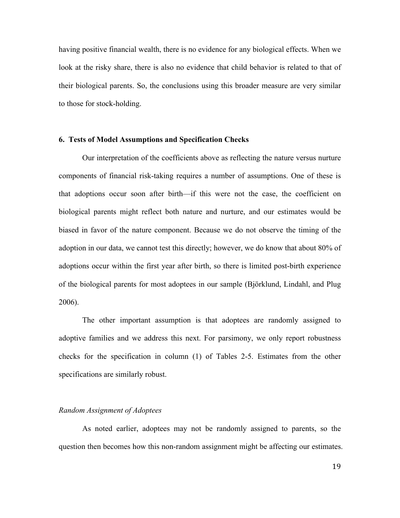having positive financial wealth, there is no evidence for any biological effects. When we look at the risky share, there is also no evidence that child behavior is related to that of their biological parents. So, the conclusions using this broader measure are very similar to those for stock-holding.

#### **6. Tests of Model Assumptions and Specification Checks**

Our interpretation of the coefficients above as reflecting the nature versus nurture components of financial risk-taking requires a number of assumptions. One of these is that adoptions occur soon after birth—if this were not the case, the coefficient on biological parents might reflect both nature and nurture, and our estimates would be biased in favor of the nature component. Because we do not observe the timing of the adoption in our data, we cannot test this directly; however, we do know that about 80% of adoptions occur within the first year after birth, so there is limited post-birth experience of the biological parents for most adoptees in our sample (Björklund, Lindahl, and Plug 2006).

The other important assumption is that adoptees are randomly assigned to adoptive families and we address this next. For parsimony, we only report robustness checks for the specification in column (1) of Tables 2-5. Estimates from the other specifications are similarly robust.

#### *Random Assignment of Adoptees*

As noted earlier, adoptees may not be randomly assigned to parents, so the question then becomes how this non-random assignment might be affecting our estimates.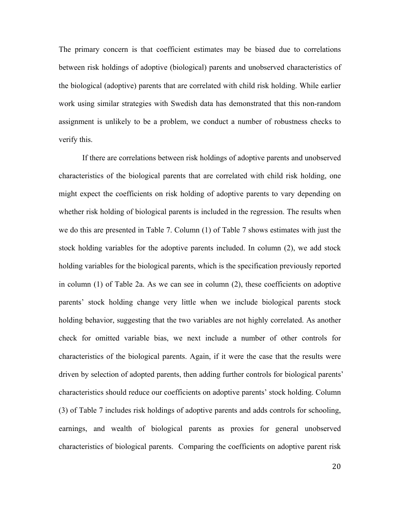The primary concern is that coefficient estimates may be biased due to correlations between risk holdings of adoptive (biological) parents and unobserved characteristics of the biological (adoptive) parents that are correlated with child risk holding. While earlier work using similar strategies with Swedish data has demonstrated that this non-random assignment is unlikely to be a problem, we conduct a number of robustness checks to verify this.

If there are correlations between risk holdings of adoptive parents and unobserved characteristics of the biological parents that are correlated with child risk holding, one might expect the coefficients on risk holding of adoptive parents to vary depending on whether risk holding of biological parents is included in the regression. The results when we do this are presented in Table 7. Column (1) of Table 7 shows estimates with just the stock holding variables for the adoptive parents included. In column (2), we add stock holding variables for the biological parents, which is the specification previously reported in column (1) of Table 2a. As we can see in column (2), these coefficients on adoptive parents' stock holding change very little when we include biological parents stock holding behavior, suggesting that the two variables are not highly correlated. As another check for omitted variable bias, we next include a number of other controls for characteristics of the biological parents. Again, if it were the case that the results were driven by selection of adopted parents, then adding further controls for biological parents' characteristics should reduce our coefficients on adoptive parents' stock holding. Column (3) of Table 7 includes risk holdings of adoptive parents and adds controls for schooling, earnings, and wealth of biological parents as proxies for general unobserved characteristics of biological parents. Comparing the coefficients on adoptive parent risk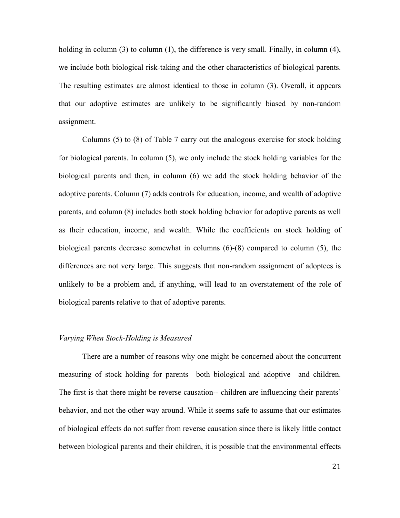holding in column (3) to column (1), the difference is very small. Finally, in column (4), we include both biological risk-taking and the other characteristics of biological parents. The resulting estimates are almost identical to those in column (3). Overall, it appears that our adoptive estimates are unlikely to be significantly biased by non-random assignment.

Columns (5) to (8) of Table 7 carry out the analogous exercise for stock holding for biological parents. In column (5), we only include the stock holding variables for the biological parents and then, in column (6) we add the stock holding behavior of the adoptive parents. Column (7) adds controls for education, income, and wealth of adoptive parents, and column (8) includes both stock holding behavior for adoptive parents as well as their education, income, and wealth. While the coefficients on stock holding of biological parents decrease somewhat in columns (6)-(8) compared to column (5), the differences are not very large. This suggests that non-random assignment of adoptees is unlikely to be a problem and, if anything, will lead to an overstatement of the role of biological parents relative to that of adoptive parents.

#### *Varying When Stock-Holding is Measured*

There are a number of reasons why one might be concerned about the concurrent measuring of stock holding for parents—both biological and adoptive—and children. The first is that there might be reverse causation-- children are influencing their parents' behavior, and not the other way around. While it seems safe to assume that our estimates of biological effects do not suffer from reverse causation since there is likely little contact between biological parents and their children, it is possible that the environmental effects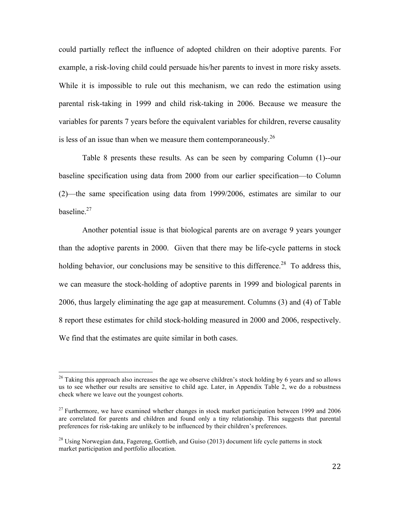could partially reflect the influence of adopted children on their adoptive parents. For example, a risk-loving child could persuade his/her parents to invest in more risky assets. While it is impossible to rule out this mechanism, we can redo the estimation using parental risk-taking in 1999 and child risk-taking in 2006. Because we measure the variables for parents 7 years before the equivalent variables for children, reverse causality is less of an issue than when we measure them contemporaneously.<sup>26</sup>

Table 8 presents these results. As can be seen by comparing Column (1)--our baseline specification using data from 2000 from our earlier specification—to Column (2)—the same specification using data from 1999/2006, estimates are similar to our baseline.<sup>27</sup>

Another potential issue is that biological parents are on average 9 years younger than the adoptive parents in 2000. Given that there may be life-cycle patterns in stock holding behavior, our conclusions may be sensitive to this difference.<sup>28</sup> To address this, we can measure the stock-holding of adoptive parents in 1999 and biological parents in 2006, thus largely eliminating the age gap at measurement. Columns (3) and (4) of Table 8 report these estimates for child stock-holding measured in 2000 and 2006, respectively. We find that the estimates are quite similar in both cases.

 $26$  Taking this approach also increases the age we observe children's stock holding by 6 years and so allows us to see whether our results are sensitive to child age. Later, in Appendix Table 2, we do a robustness check where we leave out the youngest cohorts.

 $27$  Furthermore, we have examined whether changes in stock market participation between 1999 and 2006 are correlated for parents and children and found only a tiny relationship. This suggests that parental preferences for risk-taking are unlikely to be influenced by their children's preferences.

<sup>&</sup>lt;sup>28</sup> Using Norwegian data, Fagereng, Gottlieb, and Guiso (2013) document life cycle patterns in stock market participation and portfolio allocation.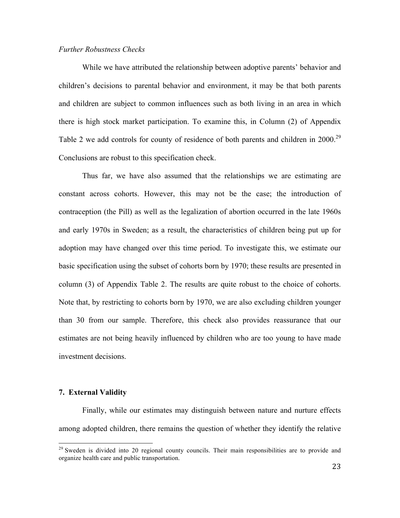#### *Further Robustness Checks*

While we have attributed the relationship between adoptive parents' behavior and children's decisions to parental behavior and environment, it may be that both parents and children are subject to common influences such as both living in an area in which there is high stock market participation. To examine this, in Column (2) of Appendix Table 2 we add controls for county of residence of both parents and children in  $2000$ <sup>29</sup> Conclusions are robust to this specification check.

Thus far, we have also assumed that the relationships we are estimating are constant across cohorts. However, this may not be the case; the introduction of contraception (the Pill) as well as the legalization of abortion occurred in the late 1960s and early 1970s in Sweden; as a result, the characteristics of children being put up for adoption may have changed over this time period. To investigate this, we estimate our basic specification using the subset of cohorts born by 1970; these results are presented in column (3) of Appendix Table 2. The results are quite robust to the choice of cohorts. Note that, by restricting to cohorts born by 1970, we are also excluding children younger than 30 from our sample. Therefore, this check also provides reassurance that our estimates are not being heavily influenced by children who are too young to have made investment decisions.

#### **7. External Validity**

Finally, while our estimates may distinguish between nature and nurture effects among adopted children, there remains the question of whether they identify the relative

<sup>&</sup>lt;sup>29</sup> Sweden is divided into 20 regional county councils. Their main responsibilities are to provide and organize health care and public transportation.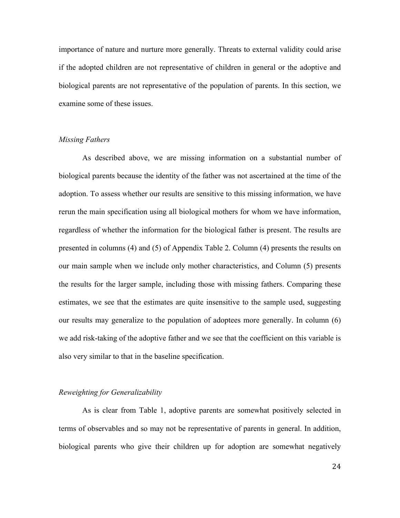importance of nature and nurture more generally. Threats to external validity could arise if the adopted children are not representative of children in general or the adoptive and biological parents are not representative of the population of parents. In this section, we examine some of these issues.

#### *Missing Fathers*

As described above, we are missing information on a substantial number of biological parents because the identity of the father was not ascertained at the time of the adoption. To assess whether our results are sensitive to this missing information, we have rerun the main specification using all biological mothers for whom we have information, regardless of whether the information for the biological father is present. The results are presented in columns (4) and (5) of Appendix Table 2. Column (4) presents the results on our main sample when we include only mother characteristics, and Column (5) presents the results for the larger sample, including those with missing fathers. Comparing these estimates, we see that the estimates are quite insensitive to the sample used, suggesting our results may generalize to the population of adoptees more generally. In column (6) we add risk-taking of the adoptive father and we see that the coefficient on this variable is also very similar to that in the baseline specification.

#### *Reweighting for Generalizability*

As is clear from Table 1, adoptive parents are somewhat positively selected in terms of observables and so may not be representative of parents in general. In addition, biological parents who give their children up for adoption are somewhat negatively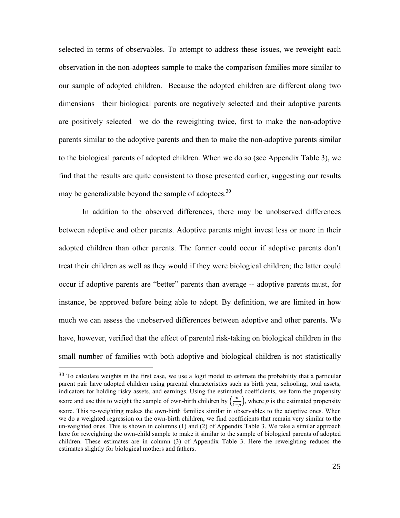selected in terms of observables. To attempt to address these issues, we reweight each observation in the non-adoptees sample to make the comparison families more similar to our sample of adopted children. Because the adopted children are different along two dimensions—their biological parents are negatively selected and their adoptive parents are positively selected—we do the reweighting twice, first to make the non-adoptive parents similar to the adoptive parents and then to make the non-adoptive parents similar to the biological parents of adopted children. When we do so (see Appendix Table 3), we find that the results are quite consistent to those presented earlier, suggesting our results may be generalizable beyond the sample of adoptees.<sup>30</sup>

In addition to the observed differences, there may be unobserved differences between adoptive and other parents. Adoptive parents might invest less or more in their adopted children than other parents. The former could occur if adoptive parents don't treat their children as well as they would if they were biological children; the latter could occur if adoptive parents are "better" parents than average -- adoptive parents must, for instance, be approved before being able to adopt. By definition, we are limited in how much we can assess the unobserved differences between adoptive and other parents. We have, however, verified that the effect of parental risk-taking on biological children in the small number of families with both adoptive and biological children is not statistically

 

 $30$  To calculate weights in the first case, we use a logit model to estimate the probability that a particular parent pair have adopted children using parental characteristics such as birth year, schooling, total assets, indicators for holding risky assets, and earnings. Using the estimated coefficients, we form the propensity score and use this to weight the sample of own-birth children by  $\left(\frac{p}{1-p}\right)$ , where p is the estimated propensity score. This re-weighting makes the own-birth families similar in observables to the adoptive ones. When we do a weighted regression on the own-birth children, we find coefficients that remain very similar to the un-weighted ones. This is shown in columns (1) and (2) of Appendix Table 3. We take a similar approach here for reweighting the own-child sample to make it similar to the sample of biological parents of adopted children. These estimates are in column (3) of Appendix Table 3. Here the reweighting reduces the estimates slightly for biological mothers and fathers.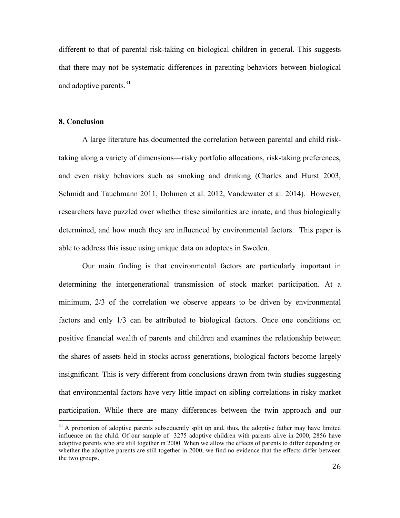different to that of parental risk-taking on biological children in general. This suggests that there may not be systematic differences in parenting behaviors between biological and adoptive parents.<sup>31</sup>

#### **8. Conclusion**

A large literature has documented the correlation between parental and child risktaking along a variety of dimensions—risky portfolio allocations, risk-taking preferences, and even risky behaviors such as smoking and drinking (Charles and Hurst 2003, Schmidt and Tauchmann 2011, Dohmen et al. 2012, Vandewater et al. 2014). However, researchers have puzzled over whether these similarities are innate, and thus biologically determined, and how much they are influenced by environmental factors. This paper is able to address this issue using unique data on adoptees in Sweden.

Our main finding is that environmental factors are particularly important in determining the intergenerational transmission of stock market participation. At a minimum, 2/3 of the correlation we observe appears to be driven by environmental factors and only 1/3 can be attributed to biological factors. Once one conditions on positive financial wealth of parents and children and examines the relationship between the shares of assets held in stocks across generations, biological factors become largely insignificant. This is very different from conclusions drawn from twin studies suggesting that environmental factors have very little impact on sibling correlations in risky market participation. While there are many differences between the twin approach and our

 $31$  A proportion of adoptive parents subsequently split up and, thus, the adoptive father may have limited influence on the child. Of our sample of 3275 adoptive children with parents alive in 2000, 2856 have adoptive parents who are still together in 2000. When we allow the effects of parents to differ depending on whether the adoptive parents are still together in 2000, we find no evidence that the effects differ between the two groups.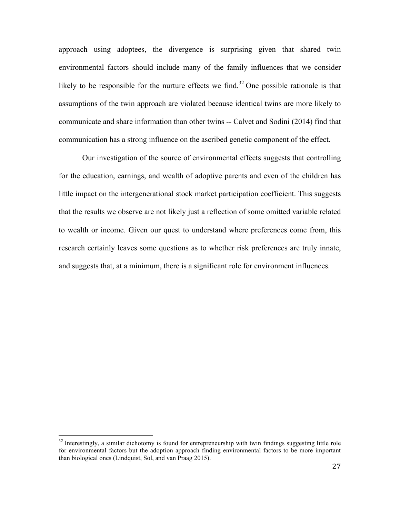approach using adoptees, the divergence is surprising given that shared twin environmental factors should include many of the family influences that we consider likely to be responsible for the nurture effects we find.<sup>32</sup> One possible rationale is that assumptions of the twin approach are violated because identical twins are more likely to communicate and share information than other twins -- Calvet and Sodini (2014) find that communication has a strong influence on the ascribed genetic component of the effect.

Our investigation of the source of environmental effects suggests that controlling for the education, earnings, and wealth of adoptive parents and even of the children has little impact on the intergenerational stock market participation coefficient. This suggests that the results we observe are not likely just a reflection of some omitted variable related to wealth or income. Given our quest to understand where preferences come from, this research certainly leaves some questions as to whether risk preferences are truly innate, and suggests that, at a minimum, there is a significant role for environment influences.

<sup>&</sup>lt;sup>32</sup> Interestingly, a similar dichotomy is found for entrepreneurship with twin findings suggesting little role for environmental factors but the adoption approach finding environmental factors to be more important than biological ones (Lindquist, Sol, and van Praag 2015).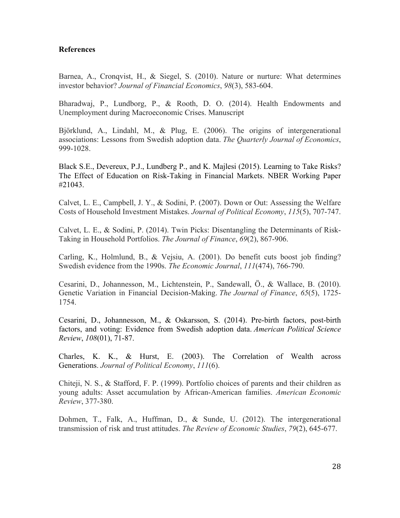#### **References**

Barnea, A., Cronqvist, H., & Siegel, S. (2010). Nature or nurture: What determines investor behavior? *Journal of Financial Economics*, *98*(3), 583-604.

Bharadwaj, P., Lundborg, P., & Rooth, D. O. (2014). Health Endowments and Unemployment during Macroeconomic Crises. Manuscript

Björklund, A., Lindahl, M., & Plug, E. (2006). The origins of intergenerational associations: Lessons from Swedish adoption data. *The Quarterly Journal of Economics*, 999-1028.

Black S.E., Devereux, P.J., Lundberg P., and K. Majlesi (2015). Learning to Take Risks? The Effect of Education on Risk-Taking in Financial Markets. NBER Working Paper #21043.

Calvet, L. E., Campbell, J. Y., & Sodini, P. (2007). Down or Out: Assessing the Welfare Costs of Household Investment Mistakes. *Journal of Political Economy*, *115*(5), 707-747.

Calvet, L. E., & Sodini, P. (2014). Twin Picks: Disentangling the Determinants of Risk-Taking in Household Portfolios. *The Journal of Finance*, *69*(2), 867-906.

Carling, K., Holmlund, B., & Vejsiu, A. (2001). Do benefit cuts boost job finding? Swedish evidence from the 1990s. *The Economic Journal*, *111*(474), 766-790.

Cesarini, D., Johannesson, M., Lichtenstein, P., Sandewall, Ö., & Wallace, B. (2010). Genetic Variation in Financial Decision-Making. *The Journal of Finance*, *65*(5), 1725- 1754.

Cesarini, D., Johannesson, M., & Oskarsson, S. (2014). Pre-birth factors, post-birth factors, and voting: Evidence from Swedish adoption data. *American Political Science Review*, *108*(01), 71-87.

Charles, K. K., & Hurst, E. (2003). The Correlation of Wealth across Generations. *Journal of Political Economy*, *111*(6).

Chiteji, N. S., & Stafford, F. P. (1999). Portfolio choices of parents and their children as young adults: Asset accumulation by African-American families. *American Economic Review*, 377-380.

Dohmen, T., Falk, A., Huffman, D., & Sunde, U. (2012). The intergenerational transmission of risk and trust attitudes. *The Review of Economic Studies*, *79*(2), 645-677.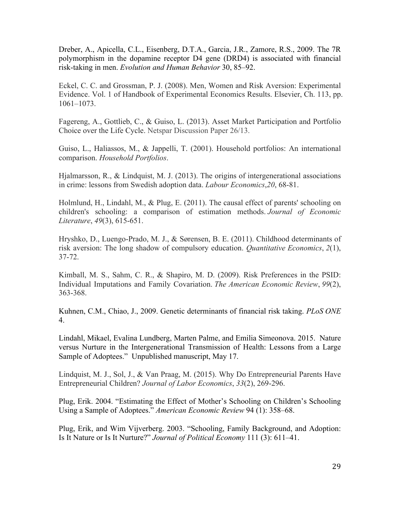Dreber, A., Apicella, C.L., Eisenberg, D.T.A., Garcia, J.R., Zamore, R.S., 2009. The 7R polymorphism in the dopamine receptor D4 gene (DRD4) is associated with financial risk-taking in men. *Evolution and Human Behavior* 30, 85–92.

Eckel, C. C. and Grossman, P. J. (2008). Men, Women and Risk Aversion: Experimental Evidence. Vol. 1 of Handbook of Experimental Economics Results. Elsevier, Ch. 113, pp. 1061–1073.

Fagereng, A., Gottlieb, C., & Guiso, L. (2013). Asset Market Participation and Portfolio Choice over the Life Cycle. Netspar Discussion Paper 26/13.

Guiso, L., Haliassos, M., & Jappelli, T. (2001). Household portfolios: An international comparison. *Household Portfolios*.

Hjalmarsson, R., & Lindquist, M. J. (2013). The origins of intergenerational associations in crime: lessons from Swedish adoption data. *Labour Economics*,*20*, 68-81.

Holmlund, H., Lindahl, M., & Plug, E. (2011). The causal effect of parents' schooling on children's schooling: a comparison of estimation methods. *Journal of Economic Literature*, *49*(3), 615-651.

Hryshko, D., Luengo-Prado, M. J., & Sørensen, B. E. (2011). Childhood determinants of risk aversion: The long shadow of compulsory education. *Quantitative Economics*, *2*(1), 37-72.

Kimball, M. S., Sahm, C. R., & Shapiro, M. D. (2009). Risk Preferences in the PSID: Individual Imputations and Family Covariation. *The American Economic Review*, *99*(2), 363-368.

Kuhnen, C.M., Chiao, J., 2009. Genetic determinants of financial risk taking. *PLoS ONE* 4.

Lindahl, Mikael, Evalina Lundberg, Marten Palme, and Emilia Simeonova. 2015. Nature versus Nurture in the Intergenerational Transmission of Health: Lessons from a Large Sample of Adoptees." Unpublished manuscript, May 17.

Lindquist, M. J., Sol, J., & Van Praag, M. (2015). Why Do Entrepreneurial Parents Have Entrepreneurial Children? *Journal of Labor Economics*, *33*(2), 269-296.

Plug, Erik. 2004. "Estimating the Effect of Mother's Schooling on Children's Schooling Using a Sample of Adoptees." *American Economic Review* 94 (1): 358–68.

Plug, Erik, and Wim Vijverberg. 2003. "Schooling, Family Background, and Adoption: Is It Nature or Is It Nurture?" *Journal of Political Economy* 111 (3): 611–41.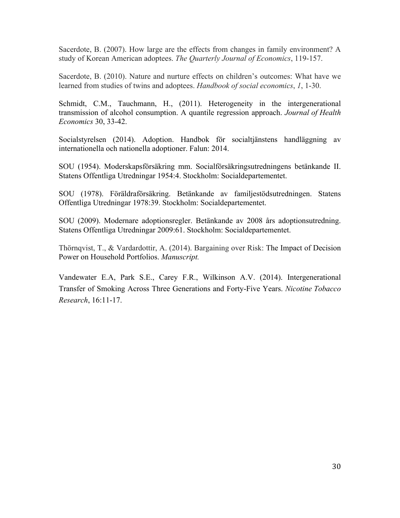Sacerdote, B. (2007). How large are the effects from changes in family environment? A study of Korean American adoptees. *The Quarterly Journal of Economics*, 119-157.

Sacerdote, B. (2010). Nature and nurture effects on children's outcomes: What have we learned from studies of twins and adoptees. *Handbook of social economics*, *1*, 1-30.

Schmidt, C.M., Tauchmann, H., (2011). Heterogeneity in the intergenerational transmission of alcohol consumption. A quantile regression approach. *Journal of Health Economics* 30, 33-42.

Socialstyrelsen (2014). Adoption. Handbok för socialtjänstens handläggning av internationella och nationella adoptioner. Falun: 2014.

SOU (1954). Moderskapsförsäkring mm. Socialförsäkringsutredningens betänkande II. Statens Offentliga Utredningar 1954:4. Stockholm: Socialdepartementet.

SOU (1978). Föräldraförsäkring. Betänkande av familjestödsutredningen. Statens Offentliga Utredningar 1978:39. Stockholm: Socialdepartementet.

SOU (2009). Modernare adoptionsregler. Betänkande av 2008 års adoptionsutredning. Statens Offentliga Utredningar 2009:61. Stockholm: Socialdepartementet.

Thörnqvist, T., & Vardardottir, A. (2014). Bargaining over Risk: The Impact of Decision Power on Household Portfolios. *Manuscript.*

Vandewater E.A, Park S.E., Carey F.R., Wilkinson A.V. (2014). Intergenerational Transfer of Smoking Across Three Generations and Forty-Five Years. *Nicotine Tobacco Research*, 16:11-17.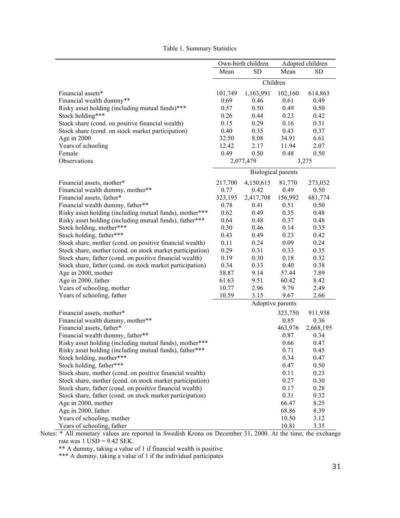|                                                           | Own-birth children |                           |                  | Adopted children |  |
|-----------------------------------------------------------|--------------------|---------------------------|------------------|------------------|--|
|                                                           | Mean               | <b>SD</b>                 | Mean             | SD               |  |
|                                                           |                    | Children                  |                  |                  |  |
| Financial assets*                                         | 101,749            | 1,163,991                 | 102,160          | 614,863          |  |
| Financial wealth dummy**                                  | 0.69               | 0.46                      | 0.61             | 0.49             |  |
| Risky asset holding (including mutual funds)***           | 0.57               | 0.50                      | 0.49             | 0.50             |  |
| Stock holding***                                          | 0.26               | 0.44                      | 0.23             | 0.42             |  |
| Stock share (cond. on positive financial wealth)          | 0.15               | 0.29                      | 0.16             | 0.31             |  |
| Stock share (cond. on stock market participation)         | 0.40               | 0.35                      | 0.43             | 0.37             |  |
| Age in 2000                                               | 32.50              | 8.08                      | 34.91            | 6.61             |  |
| Years of schooling                                        | 12.42              | 2.17                      | 11.94            | 2.07             |  |
| Female                                                    | 0.49               | 0.50                      | 0.48             | 0.50             |  |
| Observations                                              |                    | 2,077,479                 | 3,275            |                  |  |
|                                                           |                    | <b>Biological parents</b> |                  |                  |  |
| Financial assets, mother*                                 | 217,700            | 4,150,615                 | 81,770           | 273,032          |  |
| Financial wealth dummy, mother**                          | 0.77               | 0.42                      | 0.49             | 0.50             |  |
| Financial assets, father*                                 | 323,195            | 2,417,708                 | 156,992          | 681,774          |  |
| Financial wealth dummy, father**                          | 0.78               | 0.41                      | 0.51             | 0.50             |  |
| Risky asset holding (including mutual funds), mother***   | 0.62               | 0.49                      | 0.35             | 0.48             |  |
| Risky asset holding (including mutual funds), father***   | 0.64               | 0.48                      | 0.37             | 0.48             |  |
| Stock holding, mother***                                  | 0.30               | 0.46                      | 0.14             | 0.35             |  |
| Stock holding, father***                                  | 0.43               | 0.49                      | 0.23             | 0.42             |  |
| Stock share, mother (cond. on positive financial wealth)  | 0.11               | 0.24                      | 0.09             | 0.24             |  |
| Stock share, mother (cond. on stock market participation) | 0.29               | 0.31                      | 0.33             | 0.35             |  |
| Stock share, father (cond. on positive financial wealth)  | 0.19               | 0.30                      | 0.18             | 0.32             |  |
| Stock share, father (cond. on stock market participation) | 0.34               | 0.33                      | 0.40             | 0.38             |  |
| Age in 2000, mother                                       | 58.87              | 9.14                      | 57.44            | 7.89             |  |
| Age in 2000, father                                       | 61.63              | 9.51                      | 60.42            | 8.42             |  |
| Years of schooling, mother                                | 10.77              | 2.96                      | 9.79             | 2.49             |  |
| Years of schooling, father                                | 10.59              | 3.15                      | 9.67             | 2.66             |  |
|                                                           |                    |                           | Adoptive parents |                  |  |
| Financial assets, mother*                                 |                    |                           | 323,750          | 911,938          |  |
| Financial wealth dummy, mother**                          |                    |                           | 0.85             | 0.36             |  |
| Financial assets, father*                                 |                    |                           | 463,976          | 2,668,195        |  |
| Financial wealth dummy, father**                          |                    |                           | 0.87             | 0.34             |  |
| Risky asset holding (including mutual funds), mother***   |                    |                           | 0.66             | 0.47             |  |
| Risky asset holding (including mutual funds), father***   |                    |                           | 0.71             | 0.45             |  |
| Stock holding, mother***                                  |                    |                           | 0.34             | 0.47             |  |
| Stock holding, father***                                  |                    |                           | 0.47             | 0.50             |  |
| Stock share, mother (cond. on positive financial wealth)  |                    |                           | 0.11             | 0.23             |  |
| Stock share, mother (cond. on stock market participation) |                    |                           | 0.27             | 0.30             |  |
| Stock share, father (cond. on positive financial wealth)  |                    |                           | 0.17             | 0.28             |  |
| Stock share, father (cond. on stock market participation) |                    |                           | 0.31             | 0.32             |  |
| Age in 2000, mother                                       |                    |                           | 66.47            | 8.25             |  |
| Age in 2000, father                                       |                    |                           | 68.86            | 8.39             |  |
| Years of schooling, mother                                |                    |                           | 10.50            | 3.12             |  |
| Years of schooling, father                                |                    |                           | 10.81            | 3.35             |  |

Table 1. Summary Statistics

Notes: \* All monetary values are reported in Swedish Krona on December 31, 2000. At the time, the exchange rate was  $1 \text{ USD} = 9.42 \text{ SEK}.$ 

\*\* A dummy, taking a value of 1 if financial wealth is positive

\*\*\* A dummy, taking a value of 1 if the individual participates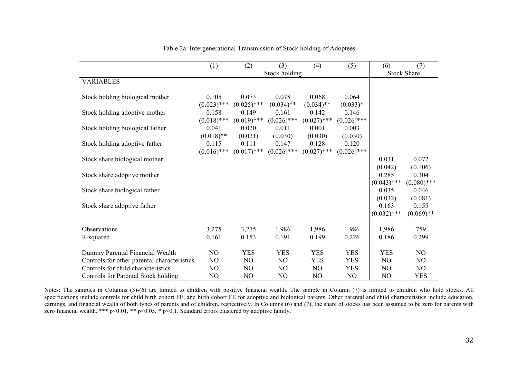|                                             | (1)                    | (2)                    | (3)                    | (4)                    | (5)                    | (6)                    | (7)                    |  |
|---------------------------------------------|------------------------|------------------------|------------------------|------------------------|------------------------|------------------------|------------------------|--|
|                                             |                        |                        | Stock holding          |                        |                        | <b>Stock Share</b>     |                        |  |
| <b>VARIABLES</b>                            |                        |                        |                        |                        |                        |                        |                        |  |
| Stock holding biological mother             | 0.105<br>$(0.023)$ *** | 0.073<br>$(0.025)$ *** | 0.078<br>$(0.034)$ **  | 0.068<br>$(0.034)$ **  | 0.064<br>$(0.033)*$    |                        |                        |  |
| Stock holding adoptive mother               | 0.158<br>$(0.018)$ *** | 0.149<br>$(0.019)$ *** | 0.161<br>$(0.026)$ *** | 0.142<br>$(0.027)$ *** | 0.146<br>$(0.026)$ *** |                        |                        |  |
| Stock holding biological father             | 0.041<br>$(0.018)$ **  | 0.020<br>(0.021)       | 0.011<br>(0.030)       | 0.001<br>(0.030)       | 0.003<br>(0.030)       |                        |                        |  |
| Stock holding adoptive father               | 0.115<br>$(0.016)$ *** | 0.111<br>$(0.017)$ *** | 0.147<br>$(0.026)$ *** | 0.128<br>$(0.027)$ *** | 0.120<br>$(0.026)$ *** |                        |                        |  |
| Stock share biological mother               |                        |                        |                        |                        |                        | 0.031<br>(0.042)       | 0.072<br>(0.106)       |  |
| Stock share adoptive mother                 |                        |                        |                        |                        |                        | 0.285<br>$(0.043)$ *** | 0.304<br>$(0.080)$ *** |  |
| Stock share biological father               |                        |                        |                        |                        |                        | 0.035<br>(0.032)       | 0.046<br>(0.081)       |  |
| Stock share adoptive father                 |                        |                        |                        |                        |                        | 0.163<br>$(0.032)$ *** | 0.155<br>$(0.069)$ **  |  |
| Observations                                | 3,275                  | 3,275                  | 1,986                  | 1,986                  | 1,986                  | 1,986                  | 759                    |  |
| R-squared                                   | 0.161                  | 0.153                  | 0.191                  | 0.199                  | 0.226                  | 0.186                  | 0.299                  |  |
| Dummy Parental Financial Wealth             | NO                     | <b>YES</b>             | <b>YES</b>             | <b>YES</b>             | <b>YES</b>             | <b>YES</b>             | N <sub>O</sub>         |  |
| Controls for other parental characteristics | NO                     | NO                     | N <sub>O</sub>         | <b>YES</b>             | <b>YES</b>             | N <sub>O</sub>         | N <sub>O</sub>         |  |
| Controls for child characteristics          | NO                     | N <sub>O</sub>         | N <sub>O</sub>         | NO                     | <b>YES</b>             | N <sub>O</sub>         | N <sub>O</sub>         |  |
| Controls for Parental Stock holding         | N <sub>O</sub>         | N <sub>O</sub>         | NO                     | N <sub>O</sub>         | NO                     | N <sub>O</sub>         | <b>YES</b>             |  |

Table 2a: Intergenerational Transmission of Stock holding of Adoptees

Notes: The samples in Columns (3)-(6) are limited to children with positive financial wealth. The sample in Column (7) is limited to children who hold stocks. All specifications include controls for child birth cohort FE, and birth cohort FE for adoptive and biological parents. Other parental and child characteristics include education, earnings, and financial wealth of both types of parents and of children, respectively. In Columns  $(6)$  and  $(7)$ , the share of stocks has been assumed to be zero for parents with zero financial wealth. \*\*\* p<0.01, \*\* p<0.05, \* p<0.1. Standard errors clustered by adoptive family.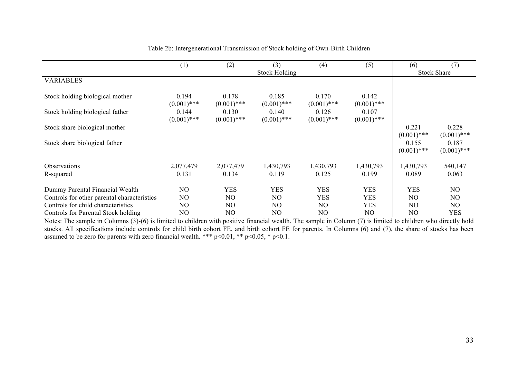|                                             | (1)                    | (2)                    | (3)                    | (4)                    | (5)                    | (6)                    | (7)                    |
|---------------------------------------------|------------------------|------------------------|------------------------|------------------------|------------------------|------------------------|------------------------|
|                                             |                        |                        | <b>Stock Holding</b>   |                        |                        |                        | <b>Stock Share</b>     |
| <b>VARIABLES</b>                            |                        |                        |                        |                        |                        |                        |                        |
| Stock holding biological mother             | 0.194<br>$(0.001)$ *** | 0.178<br>$(0.001)$ *** | 0.185<br>$(0.001)$ *** | 0.170<br>$(0.001)$ *** | 0.142<br>$(0.001)$ *** |                        |                        |
| Stock holding biological father             | 0.144<br>$(0.001)$ *** | 0.130<br>$(0.001)$ *** | 0.140<br>$(0.001)$ *** | 0.126<br>$(0.001)$ *** | 0.107<br>$(0.001)$ *** |                        |                        |
| Stock share biological mother               |                        |                        |                        |                        |                        | 0.221<br>$(0.001)$ *** | 0.228<br>$(0.001)$ *** |
| Stock share biological father               |                        |                        |                        |                        |                        | 0.155<br>$(0.001)$ *** | 0.187<br>$(0.001)$ *** |
| <b>Observations</b>                         | 2,077,479              | 2,077,479              | 1,430,793              | 1,430,793              | 1,430,793              | 1,430,793              | 540,147                |
| R-squared                                   | 0.131                  | 0.134                  | 0.119                  | 0.125                  | 0.199                  | 0.089                  | 0.063                  |
| Dummy Parental Financial Wealth             | NO                     | <b>YES</b>             | <b>YES</b>             | <b>YES</b>             | <b>YES</b>             | <b>YES</b>             | N <sub>O</sub>         |
| Controls for other parental characteristics | NO                     | NO                     | N <sub>O</sub>         | <b>YES</b>             | <b>YES</b>             | N <sub>O</sub>         | NO.                    |
| Controls for child characteristics          | NO                     | NO                     | N <sub>O</sub>         | NO                     | <b>YES</b>             | N <sub>O</sub>         | N <sub>O</sub>         |
| Controls for Parental Stock holding         | NO                     | NO                     | NO                     | NO                     | NO                     | NO                     | <b>YES</b>             |

Table 2b: Intergenerational Transmission of Stock holding of Own-Birth Children

Notes: The sample in Columns (3)-(6) is limited to children with positive financial wealth. The sample in Column (7) is limited to children who directly hold stocks. All specifications include controls for child birth cohort FE, and birth cohort FE for parents. In Columns (6) and (7), the share of stocks has been assumed to be zero for parents with zero financial wealth. \*\*\*  $p<0.01$ , \*\*  $p<0.05$ , \*  $p<0.1$ .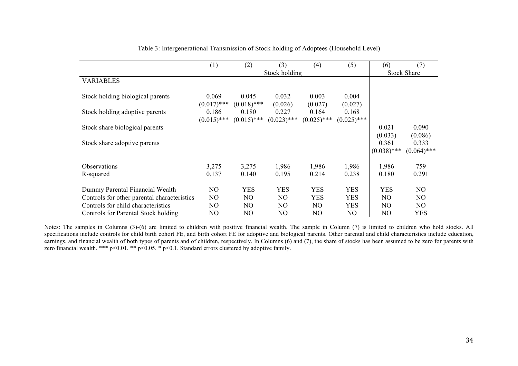|                                             | (1)                    | (2)                    | (3)                    | (4)                    | (5)                    | (6)                    | (7)                    |
|---------------------------------------------|------------------------|------------------------|------------------------|------------------------|------------------------|------------------------|------------------------|
|                                             |                        |                        | Stock holding          |                        |                        |                        | <b>Stock Share</b>     |
| <b>VARIABLES</b>                            |                        |                        |                        |                        |                        |                        |                        |
| Stock holding biological parents            | 0.069<br>$(0.017)$ *** | 0.045<br>$(0.018)$ *** | 0.032<br>(0.026)       | 0.003<br>(0.027)       | 0.004<br>(0.027)       |                        |                        |
| Stock holding adoptive parents              | 0.186<br>$(0.015)$ *** | 0.180<br>$(0.015)$ *** | 0.227<br>$(0.023)$ *** | 0.164<br>$(0.025)$ *** | 0.168<br>$(0.025)$ *** |                        |                        |
| Stock share biological parents              |                        |                        |                        |                        |                        | 0.021<br>(0.033)       | 0.090<br>(0.086)       |
| Stock share adoptive parents                |                        |                        |                        |                        |                        | 0.361<br>$(0.038)$ *** | 0.333<br>$(0.064)$ *** |
| Observations                                | 3,275                  | 3,275                  | 1,986                  | 1,986                  | 1,986                  | 1,986                  | 759                    |
| R-squared                                   | 0.137                  | 0.140                  | 0.195                  | 0.214                  | 0.238                  | 0.180                  | 0.291                  |
| Dummy Parental Financial Wealth             | NO                     | <b>YES</b>             | <b>YES</b>             | <b>YES</b>             | <b>YES</b>             | <b>YES</b>             | N <sub>O</sub>         |
| Controls for other parental characteristics | NO                     | NO.                    | NO.                    | <b>YES</b>             | <b>YES</b>             | NO.                    | NO.                    |
| Controls for child characteristics          | NO                     | NO.                    | NO.                    | NO.                    | <b>YES</b>             | NO.                    | NO.                    |
| Controls for Parental Stock holding         | NO                     | NO                     | N <sub>O</sub>         | NO                     | NO                     | NO                     | <b>YES</b>             |

Table 3: Intergenerational Transmission of Stock holding of Adoptees (Household Level)

Notes: The samples in Columns (3)-(6) are limited to children with positive financial wealth. The sample in Column (7) is limited to children who hold stocks. All specifications include controls for child birth cohort FE, and birth cohort FE for adoptive and biological parents. Other parental and child characteristics include education, earnings, and financial wealth of both types of parents and of children, respectively. In Columns  $(6)$  and  $(7)$ , the share of stocks has been assumed to be zero for parents with zero financial wealth. \*\*\* p<0.01, \*\* p<0.05, \* p<0.1. Standard errors clustered by adoptive family.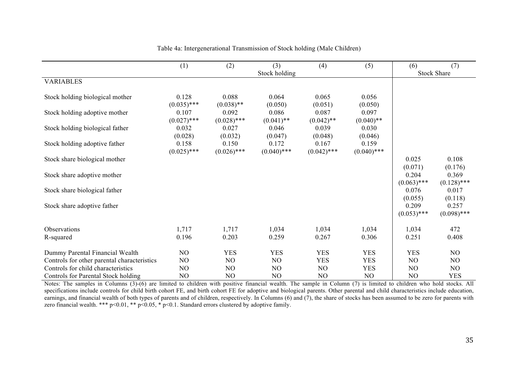|                                             | (1)                    | (2)                    | (3)                    | (4)                    | (5)                    | (6)                    | (7)                    |
|---------------------------------------------|------------------------|------------------------|------------------------|------------------------|------------------------|------------------------|------------------------|
|                                             |                        |                        | Stock holding          |                        |                        |                        | <b>Stock Share</b>     |
| <b>VARIABLES</b>                            |                        |                        |                        |                        |                        |                        |                        |
| Stock holding biological mother             | 0.128<br>$(0.035)$ *** | 0.088<br>$(0.038)$ **  | 0.064<br>(0.050)       | 0.065<br>(0.051)       | 0.056<br>(0.050)       |                        |                        |
| Stock holding adoptive mother               | 0.107<br>$(0.027)$ *** | 0.092<br>$(0.028)$ *** | 0.086<br>$(0.041)$ **  | 0.087<br>$(0.042)$ **  | 0.097<br>$(0.040)$ **  |                        |                        |
| Stock holding biological father             | 0.032<br>(0.028)       | 0.027<br>(0.032)       | 0.046<br>(0.047)       | 0.039<br>(0.048)       | 0.030<br>(0.046)       |                        |                        |
| Stock holding adoptive father               | 0.158<br>$(0.025)$ *** | 0.150<br>$(0.026)$ *** | 0.172<br>$(0.040)$ *** | 0.167<br>$(0.042)$ *** | 0.159<br>$(0.040)$ *** |                        |                        |
| Stock share biological mother               |                        |                        |                        |                        |                        | 0.025<br>(0.071)       | 0.108<br>(0.176)       |
| Stock share adoptive mother                 |                        |                        |                        |                        |                        | 0.204<br>$(0.063)$ *** | 0.369<br>$(0.128)$ *** |
| Stock share biological father               |                        |                        |                        |                        |                        | 0.076<br>(0.055)       | 0.017<br>(0.118)       |
| Stock share adoptive father                 |                        |                        |                        |                        |                        | 0.209<br>$(0.053)$ *** | 0.257<br>$(0.098)$ *** |
| Observations                                | 1,717                  | 1,717                  | 1,034                  | 1,034                  | 1,034                  | 1,034                  | 472                    |
| R-squared                                   | 0.196                  | 0.203                  | 0.259                  | 0.267                  | 0.306                  | 0.251                  | 0.408                  |
| Dummy Parental Financial Wealth             | N <sub>O</sub>         | <b>YES</b>             | <b>YES</b>             | <b>YES</b>             | <b>YES</b>             | <b>YES</b>             | N <sub>O</sub>         |
| Controls for other parental characteristics | NO                     | NO                     | NO                     | <b>YES</b>             | <b>YES</b>             | N <sub>O</sub>         | NO                     |
| Controls for child characteristics          | N <sub>O</sub>         | NO.                    | N <sub>O</sub>         | N <sub>O</sub>         | <b>YES</b>             | N <sub>O</sub>         | N <sub>O</sub>         |
| Controls for Parental Stock holding         | NO                     | NO                     | N <sub>O</sub>         | NO                     | NO                     | NO                     | <b>YES</b>             |

Table 4a: Intergenerational Transmission of Stock holding (Male Children)

Notes: The samples in Columns (3)-(6) are limited to children with positive financial wealth. The sample in Column (7) is limited to children who hold stocks. All specifications include controls for child birth cohort FE, and birth cohort FE for adoptive and biological parents. Other parental and child characteristics include education, earnings, and financial wealth of both types of parents and of children, respectively. In Columns (6) and (7), the share of stocks has been assumed to be zero for parents with zero financial wealth. \*\*\* p<0.01, \*\* p<0.05, \* p<0.1. Standard errors clustered by adoptive family.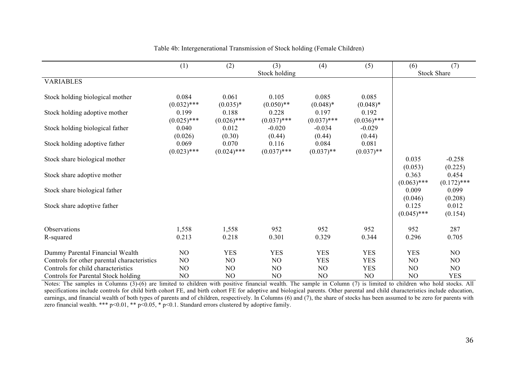|                                             | (1)                               | (2)                              | (3)                              | (4)                             | (5)                             | (6)                    | (7)                    |
|---------------------------------------------|-----------------------------------|----------------------------------|----------------------------------|---------------------------------|---------------------------------|------------------------|------------------------|
| <b>VARIABLES</b>                            |                                   |                                  | Stock holding                    |                                 |                                 |                        | <b>Stock Share</b>     |
|                                             |                                   |                                  |                                  |                                 |                                 |                        |                        |
| Stock holding biological mother             | 0.084                             | 0.061                            | 0.105                            | 0.085                           | 0.085                           |                        |                        |
| Stock holding adoptive mother               | $(0.032)$ ***<br>0.199            | $(0.035)*$<br>0.188              | $(0.050)**$<br>0.228             | $(0.048)*$<br>0.197             | $(0.048)*$<br>0.192             |                        |                        |
|                                             | $(0.025)$ ***                     | $(0.026)$ ***                    | $(0.037)$ ***                    | $(0.037)$ ***                   | $(0.036)$ ***                   |                        |                        |
| Stock holding biological father             | 0.040                             | 0.012                            | $-0.020$                         | $-0.034$                        | $-0.029$                        |                        |                        |
| Stock holding adoptive father               | (0.026)<br>0.069<br>$(0.023)$ *** | (0.30)<br>0.070<br>$(0.024)$ *** | (0.44)<br>0.116<br>$(0.037)$ *** | (0.44)<br>0.084<br>$(0.037)$ ** | (0.44)<br>0.081<br>$(0.037)$ ** |                        |                        |
| Stock share biological mother               |                                   |                                  |                                  |                                 |                                 | 0.035                  | $-0.258$               |
| Stock share adoptive mother                 |                                   |                                  |                                  |                                 |                                 | (0.053)<br>0.363       | (0.225)<br>0.454       |
| Stock share biological father               |                                   |                                  |                                  |                                 |                                 | $(0.063)$ ***<br>0.009 | $(0.172)$ ***<br>0.099 |
| Stock share adoptive father                 |                                   |                                  |                                  |                                 |                                 | (0.046)<br>0.125       | (0.208)<br>0.012       |
|                                             |                                   |                                  |                                  |                                 |                                 | $(0.045)$ ***          | (0.154)                |
| Observations                                | 1,558                             | 1,558                            | 952                              | 952                             | 952                             | 952                    | 287                    |
| R-squared                                   | 0.213                             | 0.218                            | 0.301                            | 0.329                           | 0.344                           | 0.296                  | 0.705                  |
| Dummy Parental Financial Wealth             | N <sub>O</sub>                    | <b>YES</b>                       | <b>YES</b>                       | <b>YES</b>                      | <b>YES</b>                      | <b>YES</b>             | NO                     |
| Controls for other parental characteristics | NO                                | N <sub>O</sub>                   | N <sub>O</sub>                   | <b>YES</b>                      | <b>YES</b>                      | NO                     | NO                     |
| Controls for child characteristics          | N <sub>O</sub>                    | N <sub>O</sub>                   | N <sub>O</sub>                   | N <sub>O</sub>                  | <b>YES</b>                      | N <sub>O</sub>         | NO                     |
| Controls for Parental Stock holding         | NO                                | NO                               | NO                               | N <sub>O</sub>                  | NO                              | NO                     | <b>YES</b>             |

Table 4b: Intergenerational Transmission of Stock holding (Female Children)

Notes: The samples in Columns (3)-(6) are limited to children with positive financial wealth. The sample in Column (7) is limited to children who hold stocks. All specifications include controls for child birth cohort FE, and birth cohort FE for adoptive and biological parents. Other parental and child characteristics include education, earnings, and financial wealth of both types of parents and of children, respectively. In Columns (6) and (7), the share of stocks has been assumed to be zero for parents with zero financial wealth. \*\*\* p<0.01, \*\* p<0.05, \* p<0.1. Standard errors clustered by adoptive family.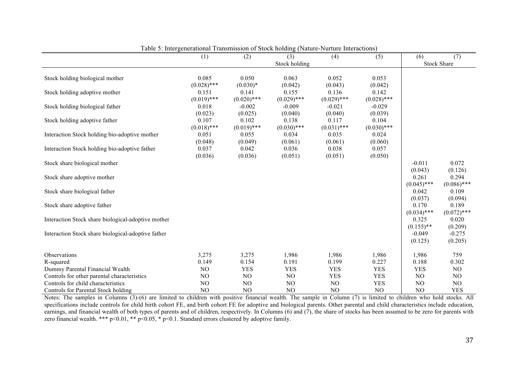| Stock holding<br>Stock holding biological mother<br>0.050<br>0.085<br>0.063<br>0.052<br>0.053<br>$(0.028)$ ***<br>$(0.030)*$<br>(0.042)<br>(0.043)<br>(0.042)<br>0.155<br>0.136<br>Stock holding adoptive mother<br>0.151<br>0.141<br>0.142<br>$(0.019)$ ***<br>$(0.020)$ ***<br>$(0.029)$ ***<br>$(0.029)$ ***<br>$(0.028)$ ***<br>Stock holding biological father<br>$-0.009$<br>$-0.029$<br>0.018<br>$-0.002$<br>$-0.021$<br>(0.023)<br>(0.025)<br>(0.039)<br>(0.040)<br>(0.040)<br>0.107<br>0.102<br>0.138<br>Stock holding adoptive father<br>0.117<br>0.104<br>$(0.018)$ ***<br>$(0.019)$ ***<br>$(0.030)$ ***<br>$(0.031)$ ***<br>$(0.030)$ ***<br>Interaction Stock holding bio-adoptive mother<br>0.051<br>0.055<br>0.034<br>0.035<br>0.024<br>(0.048)<br>(0.049)<br>(0.061)<br>(0.061)<br>(0.060)<br>Interaction Stock holding bio-adoptive father<br>0.037<br>0.042<br>0.036<br>0.038<br>0.057<br>(0.036)<br>(0.036)<br>(0.051)<br>(0.050)<br>(0.051)<br>Stock share biological mother<br>$-0.011$<br>(0.043)<br>0.261<br>Stock share adoptive mother<br>$(0.045)$ ***<br>Stock share biological father<br>0.042<br>(0.037)<br>0.170<br>Stock share adoptive father<br>$(0.034)$ ***<br>0.325 | <b>Stock Share</b> |
|----------------------------------------------------------------------------------------------------------------------------------------------------------------------------------------------------------------------------------------------------------------------------------------------------------------------------------------------------------------------------------------------------------------------------------------------------------------------------------------------------------------------------------------------------------------------------------------------------------------------------------------------------------------------------------------------------------------------------------------------------------------------------------------------------------------------------------------------------------------------------------------------------------------------------------------------------------------------------------------------------------------------------------------------------------------------------------------------------------------------------------------------------------------------------------------------------------|--------------------|
|                                                                                                                                                                                                                                                                                                                                                                                                                                                                                                                                                                                                                                                                                                                                                                                                                                                                                                                                                                                                                                                                                                                                                                                                          |                    |
|                                                                                                                                                                                                                                                                                                                                                                                                                                                                                                                                                                                                                                                                                                                                                                                                                                                                                                                                                                                                                                                                                                                                                                                                          |                    |
|                                                                                                                                                                                                                                                                                                                                                                                                                                                                                                                                                                                                                                                                                                                                                                                                                                                                                                                                                                                                                                                                                                                                                                                                          |                    |
|                                                                                                                                                                                                                                                                                                                                                                                                                                                                                                                                                                                                                                                                                                                                                                                                                                                                                                                                                                                                                                                                                                                                                                                                          |                    |
|                                                                                                                                                                                                                                                                                                                                                                                                                                                                                                                                                                                                                                                                                                                                                                                                                                                                                                                                                                                                                                                                                                                                                                                                          |                    |
|                                                                                                                                                                                                                                                                                                                                                                                                                                                                                                                                                                                                                                                                                                                                                                                                                                                                                                                                                                                                                                                                                                                                                                                                          |                    |
|                                                                                                                                                                                                                                                                                                                                                                                                                                                                                                                                                                                                                                                                                                                                                                                                                                                                                                                                                                                                                                                                                                                                                                                                          |                    |
|                                                                                                                                                                                                                                                                                                                                                                                                                                                                                                                                                                                                                                                                                                                                                                                                                                                                                                                                                                                                                                                                                                                                                                                                          |                    |
|                                                                                                                                                                                                                                                                                                                                                                                                                                                                                                                                                                                                                                                                                                                                                                                                                                                                                                                                                                                                                                                                                                                                                                                                          |                    |
|                                                                                                                                                                                                                                                                                                                                                                                                                                                                                                                                                                                                                                                                                                                                                                                                                                                                                                                                                                                                                                                                                                                                                                                                          |                    |
|                                                                                                                                                                                                                                                                                                                                                                                                                                                                                                                                                                                                                                                                                                                                                                                                                                                                                                                                                                                                                                                                                                                                                                                                          |                    |
|                                                                                                                                                                                                                                                                                                                                                                                                                                                                                                                                                                                                                                                                                                                                                                                                                                                                                                                                                                                                                                                                                                                                                                                                          |                    |
|                                                                                                                                                                                                                                                                                                                                                                                                                                                                                                                                                                                                                                                                                                                                                                                                                                                                                                                                                                                                                                                                                                                                                                                                          |                    |
|                                                                                                                                                                                                                                                                                                                                                                                                                                                                                                                                                                                                                                                                                                                                                                                                                                                                                                                                                                                                                                                                                                                                                                                                          | 0.072              |
|                                                                                                                                                                                                                                                                                                                                                                                                                                                                                                                                                                                                                                                                                                                                                                                                                                                                                                                                                                                                                                                                                                                                                                                                          | (0.126)            |
|                                                                                                                                                                                                                                                                                                                                                                                                                                                                                                                                                                                                                                                                                                                                                                                                                                                                                                                                                                                                                                                                                                                                                                                                          | 0.294              |
|                                                                                                                                                                                                                                                                                                                                                                                                                                                                                                                                                                                                                                                                                                                                                                                                                                                                                                                                                                                                                                                                                                                                                                                                          | $(0.086)$ ***      |
|                                                                                                                                                                                                                                                                                                                                                                                                                                                                                                                                                                                                                                                                                                                                                                                                                                                                                                                                                                                                                                                                                                                                                                                                          | 0.109              |
|                                                                                                                                                                                                                                                                                                                                                                                                                                                                                                                                                                                                                                                                                                                                                                                                                                                                                                                                                                                                                                                                                                                                                                                                          | (0.094)            |
|                                                                                                                                                                                                                                                                                                                                                                                                                                                                                                                                                                                                                                                                                                                                                                                                                                                                                                                                                                                                                                                                                                                                                                                                          | 0.189              |
|                                                                                                                                                                                                                                                                                                                                                                                                                                                                                                                                                                                                                                                                                                                                                                                                                                                                                                                                                                                                                                                                                                                                                                                                          | $(0.072)$ ***      |
| Interaction Stock share biological-adoptive mother                                                                                                                                                                                                                                                                                                                                                                                                                                                                                                                                                                                                                                                                                                                                                                                                                                                                                                                                                                                                                                                                                                                                                       | 0.020              |
| $(0.155)$ **                                                                                                                                                                                                                                                                                                                                                                                                                                                                                                                                                                                                                                                                                                                                                                                                                                                                                                                                                                                                                                                                                                                                                                                             | (0.209)            |
| Interaction Stock share biological-adoptive father<br>$-0.049$                                                                                                                                                                                                                                                                                                                                                                                                                                                                                                                                                                                                                                                                                                                                                                                                                                                                                                                                                                                                                                                                                                                                           | $-0.275$           |
| (0.125)                                                                                                                                                                                                                                                                                                                                                                                                                                                                                                                                                                                                                                                                                                                                                                                                                                                                                                                                                                                                                                                                                                                                                                                                  | (0.205)            |
| Observations<br>3,275<br>3,275<br>1,986<br>1,986<br>1,986<br>1,986                                                                                                                                                                                                                                                                                                                                                                                                                                                                                                                                                                                                                                                                                                                                                                                                                                                                                                                                                                                                                                                                                                                                       | 759                |
| 0.149<br>0.154<br>0.191<br>0.199<br>0.227<br>0.188<br>R-squared                                                                                                                                                                                                                                                                                                                                                                                                                                                                                                                                                                                                                                                                                                                                                                                                                                                                                                                                                                                                                                                                                                                                          | 0.302              |
| <b>YES</b><br>Dummy Parental Financial Wealth<br>NO<br><b>YES</b><br><b>YES</b><br><b>YES</b><br><b>YES</b>                                                                                                                                                                                                                                                                                                                                                                                                                                                                                                                                                                                                                                                                                                                                                                                                                                                                                                                                                                                                                                                                                              | NO                 |
| Controls for other parental characteristics<br>NO<br>N <sub>O</sub><br>N <sub>O</sub><br><b>YES</b><br><b>YES</b><br>NO                                                                                                                                                                                                                                                                                                                                                                                                                                                                                                                                                                                                                                                                                                                                                                                                                                                                                                                                                                                                                                                                                  | NO                 |
| Controls for child characteristics<br>NO<br>NO<br>NO<br>NO<br><b>YES</b><br>NO                                                                                                                                                                                                                                                                                                                                                                                                                                                                                                                                                                                                                                                                                                                                                                                                                                                                                                                                                                                                                                                                                                                           | NO                 |
| NO<br>N <sub>O</sub><br>N <sub>O</sub><br>N <sub>O</sub><br>N <sub>O</sub><br>N <sub>O</sub><br>Controls for Parental Stock holding                                                                                                                                                                                                                                                                                                                                                                                                                                                                                                                                                                                                                                                                                                                                                                                                                                                                                                                                                                                                                                                                      | <b>YES</b>         |

Table 5: Intergenerational Transmission of Stock holding (Nature-Nurture Interactions)

Notes: The samples in Columns (3)-(6) are limited to children with positive financial wealth. The sample in Column (7) is limited to children who hold stocks. All specifications include controls for child birth cohort FE, and birth cohort FE for adoptive and biological parents. Other parental and child characteristics include education, earnings, and financial wealth of both types of parents and of children, respectively. In Columns (6) and (7), the share of stocks has been assumed to be zero for parents with zero financial wealth. \*\*\* p<0.01, \*\* p<0.05, \* p<0.1. Standard errors clustered by adoptive family.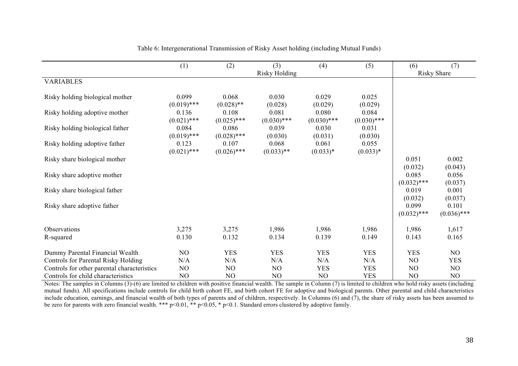|                                             | (1)                    | (2)                    | (3)<br><b>Risky Holding</b> | (4)                    | (5)                    | (6)                    | (7)<br><b>Risky Share</b> |
|---------------------------------------------|------------------------|------------------------|-----------------------------|------------------------|------------------------|------------------------|---------------------------|
| <b>VARIABLES</b>                            |                        |                        |                             |                        |                        |                        |                           |
| Risky holding biological mother             | 0.099<br>$(0.019)$ *** | 0.068<br>$(0.028)$ **  | 0.030<br>(0.028)            | 0.029<br>(0.029)       | 0.025<br>(0.029)       |                        |                           |
| Risky holding adoptive mother               | 0.136<br>$(0.021)$ *** | 0.108<br>$(0.025)$ *** | 0.081<br>$(0.030)$ ***      | 0.080<br>$(0.030)$ *** | 0.084<br>$(0.030)$ *** |                        |                           |
| Risky holding biological father             | 0.084<br>$(0.019)$ *** | 0.086<br>$(0.028)$ *** | 0.039<br>(0.030)            | 0.030<br>(0.031)       | 0.031<br>(0.030)       |                        |                           |
| Risky holding adoptive father               | 0.123<br>$(0.021)$ *** | 0.107<br>$(0.026)$ *** | 0.068<br>$(0.033)$ **       | 0.061<br>$(0.033)*$    | 0.055<br>$(0.033)*$    |                        |                           |
| Risky share biological mother               |                        |                        |                             |                        |                        | 0.051<br>(0.032)       | 0.002<br>(0.043)          |
| Risky share adoptive mother                 |                        |                        |                             |                        |                        | 0.085<br>$(0.032)$ *** | 0.056<br>(0.037)          |
| Risky share biological father               |                        |                        |                             |                        |                        | 0.019<br>(0.032)       | 0.001<br>(0.037)          |
| Risky share adoptive father                 |                        |                        |                             |                        |                        | 0.099<br>$(0.032)$ *** | 0.101<br>$(0.036)$ ***    |
| Observations                                | 3,275                  | 3,275                  | 1,986                       | 1,986                  | 1,986                  | 1,986                  | 1,617                     |
| R-squared                                   | 0.130                  | 0.132                  | 0.134                       | 0.139                  | 0.149                  | 0.143                  | 0.165                     |
| Dummy Parental Financial Wealth             | NO                     | <b>YES</b>             | <b>YES</b>                  | <b>YES</b>             | <b>YES</b>             | <b>YES</b>             | NO                        |
| Controls for Parental Risky Holding         | N/A                    | N/A                    | N/A                         | N/A                    | N/A                    | NO                     | <b>YES</b>                |
| Controls for other parental characteristics | NO                     | N <sub>O</sub>         | NO                          | <b>YES</b>             | <b>YES</b>             | NO                     | NO.                       |
| Controls for child characteristics          | NO                     | NO                     | NO                          | NO                     | <b>YES</b>             | NO                     | NO                        |

Table 6: Intergenerational Transmission of Risky Asset holding (including Mutual Funds)

Notes: The samples in Columns (3)-(6) are limited to children with positive financial wealth. The sample in Column (7) is limited to children who hold risky assets (including mutual funds). All specifications include controls for child birth cohort FE, and birth cohort FE for adoptive and biological parents. Other parental and child characteristics include education, earnings, and financial wealth of both types of parents and of children, respectively. In Columns (6) and (7), the share of risky assets has been assumed to be zero for parents with zero financial wealth. \*\*\*  $p<0.01$ , \*\*  $p<0.05$ , \*  $p<0.1$ . Standard errors clustered by adoptive family.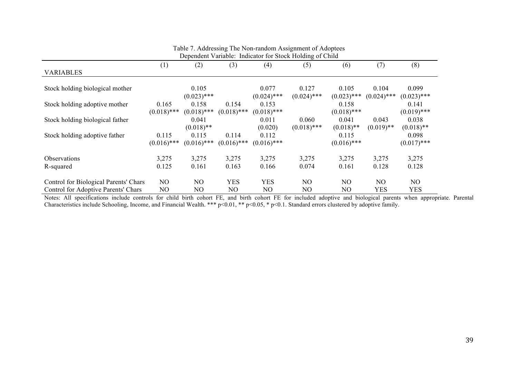| Dependent Variable: Indicator for Stock Holding of Child |                |               |               |               |                |               |                |               |
|----------------------------------------------------------|----------------|---------------|---------------|---------------|----------------|---------------|----------------|---------------|
|                                                          | (1)            | (2)           | (3)           | (4)           | (5)            | (6)           | (7)            | (8)           |
| <b>VARIABLES</b>                                         |                |               |               |               |                |               |                |               |
|                                                          |                |               |               |               |                |               |                |               |
| Stock holding biological mother                          |                | 0.105         |               | 0.077         | 0.127          | 0.105         | 0.104          | 0.099         |
|                                                          |                | $(0.023)$ *** |               | $(0.024)$ *** | $(0.024)$ ***  | $(0.023)$ *** | $(0.024)$ ***  | $(0.023)$ *** |
| Stock holding adoptive mother                            | 0.165          | 0.158         | 0.154         | 0.153         |                | 0.158         |                | 0.141         |
|                                                          | $(0.018)$ ***  | $(0.018)$ *** | $(0.018)$ *** | $(0.018)$ *** |                | $(0.018)$ *** |                | $(0.019)$ *** |
| Stock holding biological father                          |                | 0.041         |               | 0.011         | 0.060          | 0.041         | 0.043          | 0.038         |
|                                                          |                | $(0.018)$ **  |               | (0.020)       | $(0.018)$ ***  | $(0.018)$ **  | $(0.019)$ **   | $(0.018)$ **  |
| Stock holding adoptive father                            | 0.115          | 0.115         | 0.114         | 0.112         |                | 0.115         |                | 0.098         |
|                                                          | $(0.016)$ ***  | $(0.016)$ *** | $(0.016)$ *** | $(0.016)$ *** |                | $(0.016)$ *** |                | $(0.017)$ *** |
| Observations                                             | 3,275          | 3,275         | 3,275         | 3,275         | 3,275          | 3,275         | 3,275          | 3,275         |
| R-squared                                                | 0.125          | 0.161         | 0.163         | 0.166         | 0.074          | 0.161         | 0.128          | 0.128         |
| Control for Biological Parents' Chars                    | N <sub>O</sub> | NO            | <b>YES</b>    | <b>YES</b>    | N <sub>O</sub> | NO            | N <sub>O</sub> | NO.           |
| Control for Adoptive Parents' Chars                      | NO             | NO            | NO            | NO.           | NO             | NO.           | <b>YES</b>     | <b>YES</b>    |

|  |  |  |  |  | Table 7. Addressing The Non-random Assignment of Adoptees |
|--|--|--|--|--|-----------------------------------------------------------|
|  |  |  |  |  |                                                           |

Notes: All specifications include controls for child birth cohort FE, and birth cohort FE for included adoptive and biological parents when appropriate. Parental Characteristics include Schooling, Income, and Financial Wealth. \*\*\* p<0.01, \*\* p<0.05, \* p<0.1. Standard errors clustered by adoptive family.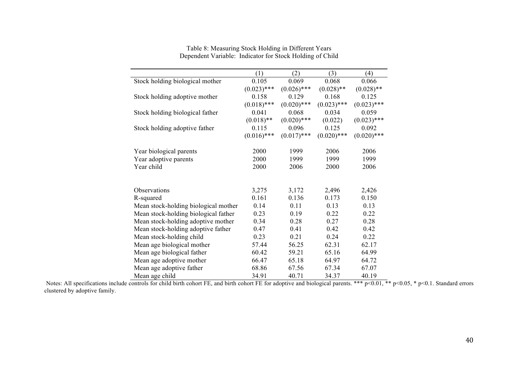|                                      | (1)           | (2)           | (3)           | (4)           |
|--------------------------------------|---------------|---------------|---------------|---------------|
| Stock holding biological mother      | 0.105         | 0.069         | 0.068         | 0.066         |
|                                      | $(0.023)$ *** | $(0.026)$ *** | $(0.028)$ **  | $(0.028)$ **  |
| Stock holding adoptive mother        | 0.158         | 0.129         | 0.168         | 0.125         |
|                                      | $(0.018)$ *** | $(0.020)$ *** | $(0.023)$ *** | $(0.023)$ *** |
| Stock holding biological father      | 0.041         | 0.068         | 0.034         | 0.059         |
|                                      | $(0.018)$ **  | $(0.020)$ *** | (0.022)       | $(0.023)$ *** |
| Stock holding adoptive father        | 0.115         | 0.096         | 0.125         | 0.092         |
|                                      | $(0.016)$ *** | $(0.017)$ *** | $(0.020)$ *** | $(0.020)$ *** |
| Year biological parents              | 2000          | 1999          | 2006          | 2006          |
| Year adoptive parents                | 2000          | 1999          | 1999          | 1999          |
| Year child                           | 2000          | 2006          | 2000          | 2006          |
|                                      |               |               |               |               |
| Observations                         | 3,275         | 3,172         | 2,496         | 2,426         |
| R-squared                            | 0.161         | 0.136         | 0.173         | 0.150         |
| Mean stock-holding biological mother | 0.14          | 0.11          | 0.13          | 0.13          |
| Mean stock-holding biological father | 0.23          | 0.19          | 0.22          | 0.22          |
| Mean stock-holding adoptive mother   | 0.34          | 0.28          | 0.27          | 0.28          |
| Mean stock-holding adoptive father   | 0.47          | 0.41          | 0.42          | 0.42          |
| Mean stock-holding child             | 0.23          | 0.21          | 0.24          | 0.22          |
| Mean age biological mother           | 57.44         | 56.25         | 62.31         | 62.17         |
| Mean age biological father           | 60.42         | 59.21         | 65.16         | 64.99         |
| Mean age adoptive mother             | 66.47         | 65.18         | 64.97         | 64.72         |
| Mean age adoptive father             | 68.86         | 67.56         | 67.34         | 67.07         |
| Mean age child                       | 34.91         | 40.71         | 34.37         | 40.19         |

Table 8: Measuring Stock Holding in Different Years Dependent Variable: Indicator for Stock Holding of Child

Notes: All specifications include controls for child birth cohort FE, and birth cohort FE for adoptive and biological parents. \*\*\*  $p<0.01$ , \*\*  $p<0.05$ , \*  $p<0.1$ . Standard errors clustered by adoptive family.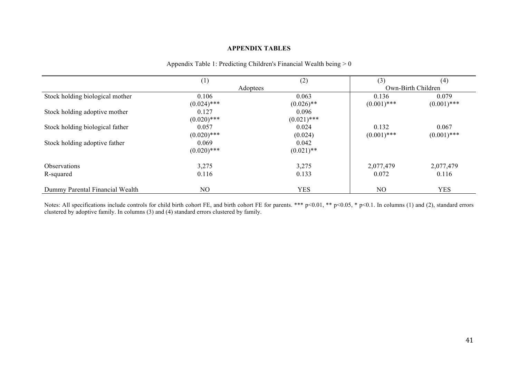#### **APPENDIX TABLES**

|                                 | (1)            | (2)           | (3)            | (4)                |
|---------------------------------|----------------|---------------|----------------|--------------------|
|                                 | Adoptees       |               |                | Own-Birth Children |
| Stock holding biological mother | 0.106          | 0.063         | 0.136          | 0.079              |
|                                 | $(0.024)$ ***  | $(0.026)$ **  | $(0.001)$ ***  | $(0.001)$ ***      |
| Stock holding adoptive mother   | 0.127          | 0.096         |                |                    |
|                                 | $(0.020)$ ***  | $(0.021)$ *** |                |                    |
| Stock holding biological father | 0.057          | 0.024         | 0.132          | 0.067              |
|                                 | $(0.020)$ ***  | (0.024)       | $(0.001)$ ***  | $(0.001)$ ***      |
| Stock holding adoptive father   | 0.069          | 0.042         |                |                    |
|                                 | $(0.020)$ ***  | $(0.021)$ **  |                |                    |
| <b>Observations</b>             | 3,275          | 3,275         | 2,077,479      | 2,077,479          |
| R-squared                       | 0.116          | 0.133         | 0.072          | 0.116              |
| Dummy Parental Financial Wealth | N <sub>O</sub> | <b>YES</b>    | N <sub>O</sub> | <b>YES</b>         |

#### Appendix Table 1: Predicting Children's Financial Wealth being > 0

Notes: All specifications include controls for child birth cohort FE, and birth cohort FE for parents. \*\*\* p<0.01, \*\* p<0.05, \* p<0.1. In columns (1) and (2), standard errors clustered by adoptive family. In columns (3) and (4) standard errors clustered by family.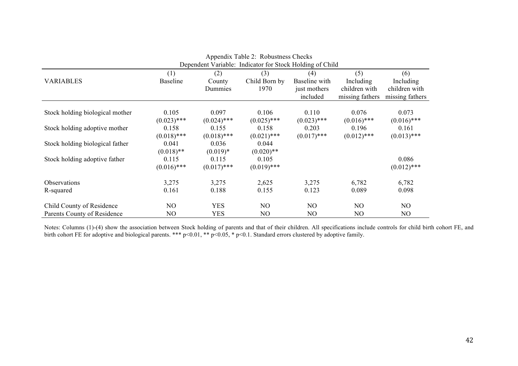|                                 |                                                          |               | Appendix Table 2. Robustness Checks |               |                 |                 |
|---------------------------------|----------------------------------------------------------|---------------|-------------------------------------|---------------|-----------------|-----------------|
|                                 | Dependent Variable: Indicator for Stock Holding of Child |               |                                     |               |                 |                 |
|                                 | (1)                                                      | (2)           | (3)                                 | (4)           | (5)             | (6)             |
| <b>VARIABLES</b>                | <b>Baseline</b>                                          | County        | Child Born by                       | Baseline with | Including       | Including       |
|                                 |                                                          | Dummies       | 1970                                | just mothers  | children with   | children with   |
|                                 |                                                          |               |                                     | included      | missing fathers | missing fathers |
|                                 |                                                          |               |                                     |               |                 |                 |
| Stock holding biological mother | 0.105                                                    | 0.097         | 0.106                               | 0.110         | 0.076           | 0.073           |
|                                 | $(0.023)$ ***                                            | $(0.024)$ *** | $(0.025)$ ***                       | $(0.023)$ *** | $(0.016)$ ***   | $(0.016)$ ***   |
| Stock holding adoptive mother   | 0.158                                                    | 0.155         | 0.158                               | 0.203         | 0.196           | 0.161           |
|                                 | $(0.018)$ ***                                            | $(0.018)$ *** | $(0.021)$ ***                       | $(0.017)$ *** | $(0.012)$ ***   | $(0.013)$ ***   |
| Stock holding biological father | 0.041                                                    | 0.036         | 0.044                               |               |                 |                 |
|                                 | $(0.018)$ **                                             | $(0.019)*$    | $(0.020)$ **                        |               |                 |                 |
| Stock holding adoptive father   | 0.115                                                    | 0.115         | 0.105                               |               |                 | 0.086           |
|                                 | $(0.016)$ ***                                            | $(0.017)$ *** | $(0.019)$ ***                       |               |                 | $(0.012)$ ***   |
| Observations                    | 3,275                                                    | 3,275         | 2,625                               | 3,275         | 6,782           | 6,782           |
| R-squared                       | 0.161                                                    | 0.188         | 0.155                               | 0.123         | 0.089           | 0.098           |
| Child County of Residence       | NO.                                                      | <b>YES</b>    | N <sub>O</sub>                      | NO            | N <sub>O</sub>  | N <sub>O</sub>  |
| Parents County of Residence     | NO                                                       | <b>YES</b>    | NO                                  | NO            | N <sub>O</sub>  | N <sub>O</sub>  |

| Appendix Table 2: Robustness Checks |  |  |  |  |  |
|-------------------------------------|--|--|--|--|--|
|                                     |  |  |  |  |  |

Notes: Columns (1)-(4) show the association between Stock holding of parents and that of their children. All specifications include controls for child birth cohort FE, and birth cohort FE for adoptive and biological parents. \*\*\* p<0.01, \*\* p<0.05, \* p<0.1. Standard errors clustered by adoptive family.